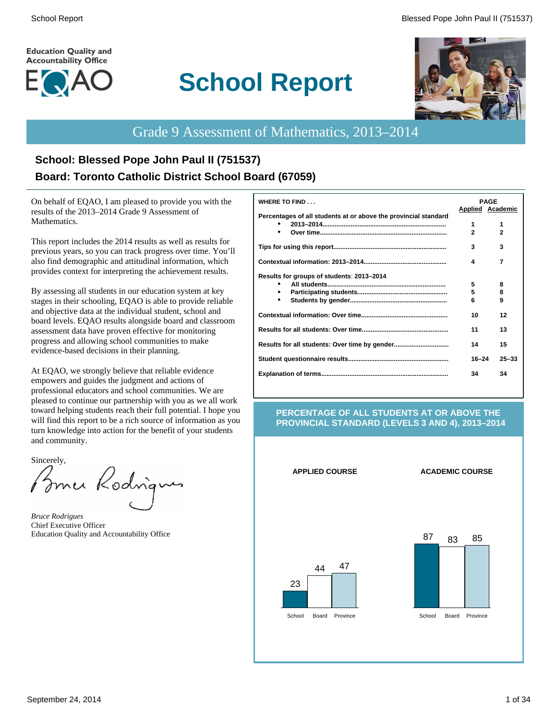#### **Education Quality and Accountability Office**



# **School Report**



# Grade 9 Assessment of Mathematics, 2013–2014

# **School: Blessed Pope John Paul II (751537) Board: Toronto Catholic District School Board (67059)**

On behalf of EQAO, I am pleased to provide you with the results of the 2013–2014 Grade 9 Assessment of Mathematics.

This report includes the 2014 results as well as results for previous years, so you can track progress over time. You'll also find demographic and attitudinal information, which provides context for interpreting the achievement results.

By assessing all students in our education system at key stages in their schooling, EQAO is able to provide reliable and objective data at the individual student, school and board levels. EQAO results alongside board and classroom assessment data have proven effective for monitoring progress and allowing school communities to make evidence-based decisions in their planning.

At EQAO, we strongly believe that reliable evidence empowers and guides the judgment and actions of professional educators and school communities. We are pleased to continue our partnership with you as we all work toward helping students reach their full potential. I hope you will find this report to be a rich source of information as you turn knowledge into action for the benefit of your students and community.

Sincerely,

Brner Kodrigu

*Bruce Rodrigues* Chief Executive Officer Education Quality and Accountability Office

| <b>WHERE TO FIND</b>                                            |                | <b>PAGE</b>      |
|-----------------------------------------------------------------|----------------|------------------|
|                                                                 |                | Applied Academic |
| Percentages of all students at or above the provincial standard |                |                  |
|                                                                 | 1              | 1                |
|                                                                 | $\overline{2}$ | $\overline{2}$   |
|                                                                 | 3              | 3                |
|                                                                 | 4              | 7                |
| Results for groups of students: 2013-2014                       |                |                  |
|                                                                 | 5              | 8                |
| ٠                                                               | 5              | 8                |
| ٠                                                               | 6              | 9                |
|                                                                 | 10             | 12               |
|                                                                 | 11             | 13               |
|                                                                 | 14             | 15               |
|                                                                 | $16 - 24$      | $25 - 33$        |
|                                                                 | 34             | 34               |
|                                                                 |                |                  |

#### **PERCENTAGE OF ALL STUDENTS AT OR ABOVE THE PROVINCIAL STANDARD (LEVELS 3 AND 4), 2013–2014**

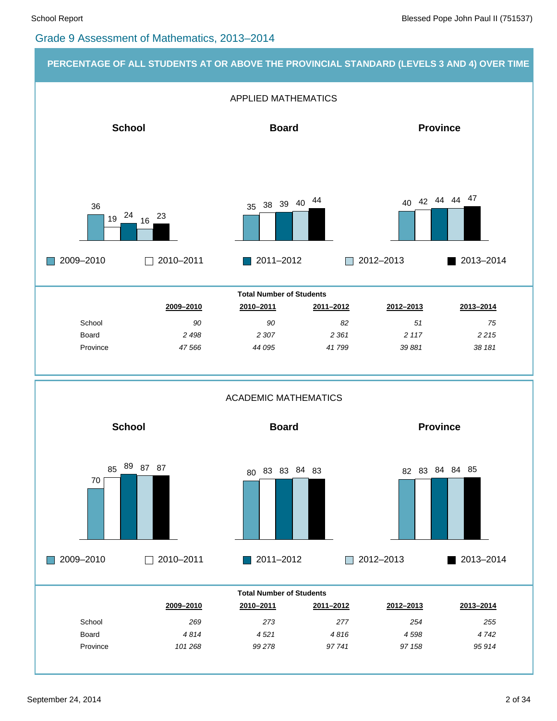#### Grade 9 Assessment of Mathematics, 2013–2014

#### **PERCENTAGE OF ALL STUDENTS AT OR ABOVE THE PROVINCIAL STANDARD (LEVELS 3 AND 4) OVER TIME**

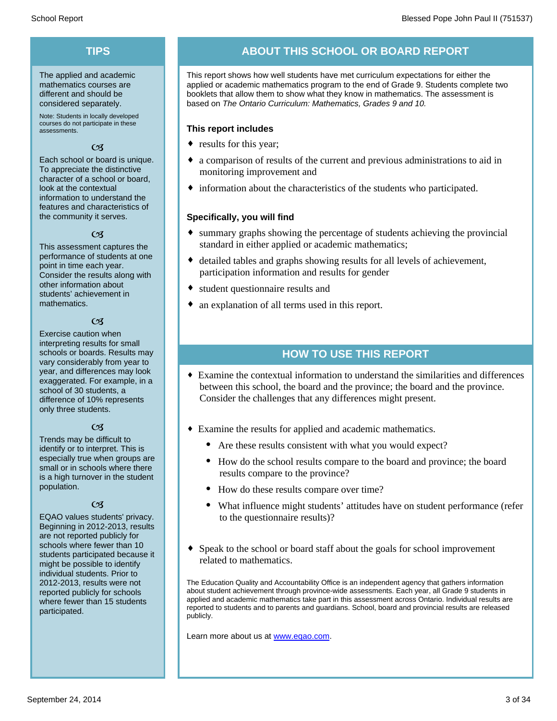# **TIPS**

The applied and academic mathematics courses are different and should be considered separately.

Note: Students in locally developed courses do not participate in these assessments.

#### $C<sub>3</sub>$

Each school or board is unique. To appreciate the distinctive character of a school or board, look at the contextual information to understand the features and characteristics of the community it serves.

#### $C<sub>3</sub>$

This assessment captures the performance of students at one point in time each year. Consider the results along with other information about students' achievement in mathematics.

#### $\epsilon$

Exercise caution when interpreting results for small schools or boards. Results may vary considerably from year to year, and differences may look exaggerated. For example, in a school of 30 students, a difference of 10% represents only three students.

#### $C<sub>3</sub>$

Trends may be difficult to identify or to interpret. This is especially true when groups are small or in schools where there is a high turnover in the student population.

#### $C<sub>3</sub>$

EQAO values students' privacy. Beginning in 2012-2013, results are not reported publicly for schools where fewer than 10 students participated because it might be possible to identify individual students. Prior to 2012-2013, results were not reported publicly for schools where fewer than 15 students participated.

# **ABOUT THIS SCHOOL OR BOARD REPORT**

This report shows how well students have met curriculum expectations for either the applied or academic mathematics program to the end of Grade 9. Students complete two booklets that allow them to show what they know in mathematics. The assessment is based on *The Ontario Curriculum: Mathematics, Grades 9 and 10.*

#### **This report includes**

- $\bullet$  results for this year;
- $\bullet$  a comparison of results of the current and previous administrations to aid in monitoring improvement and
- $\bullet$  information about the characteristics of the students who participated.

#### **Specifically, you will find**

- $\bullet$  summary graphs showing the percentage of students achieving the provincial standard in either applied or academic mathematics;
- ¨ detailed tables and graphs showing results for all levels of achievement, participation information and results for gender
- $\bullet$  student questionnaire results and
- $\bullet$  an explanation of all terms used in this report.

## **HOW TO USE THIS REPORT**

- ¨ Examine the contextual information to understand the similarities and differences between this school, the board and the province; the board and the province. Consider the challenges that any differences might present.
- Examine the results for applied and academic mathematics.
	- Are these results consistent with what you would expect?
	- · How do the school results compare to the board and province; the board results compare to the province?
	- How do these results compare over time?
	- What influence might students' attitudes have on student performance (refer to the questionnaire results)?
- Speak to the school or board staff about the goals for school improvement related to mathematics.

The Education Quality and Accountability Office is an independent agency that gathers information about student achievement through province-wide assessments. Each year, all Grade 9 students in applied and academic mathematics take part in this assessment across Ontario. Individual results are reported to students and to parents and guardians. School, board and provincial results are released publicly.

Learn more about us at www.eqao.com.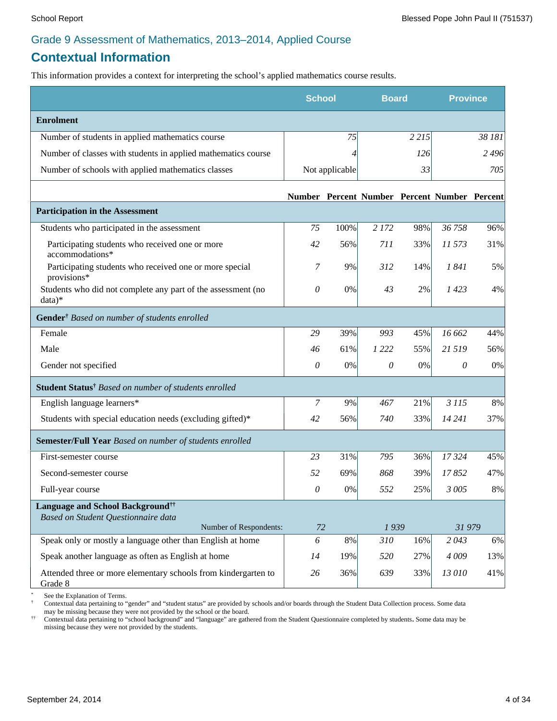# **Contextual Information**

This information provides a context for interpreting the school's applied mathematics course results.

|                                                                                     | <b>School</b> |                | <b>Board</b>                                 |         | <b>Province</b> |         |
|-------------------------------------------------------------------------------------|---------------|----------------|----------------------------------------------|---------|-----------------|---------|
| <b>Enrolment</b>                                                                    |               |                |                                              |         |                 |         |
| Number of students in applied mathematics course                                    |               | 75             |                                              | 2 2 1 5 |                 | 38 181  |
| Number of classes with students in applied mathematics course                       |               | 4              |                                              | 126     |                 | 2 4 9 6 |
| Number of schools with applied mathematics classes                                  |               | Not applicable |                                              | 33      |                 | 705     |
|                                                                                     |               |                | Number Percent Number Percent Number Percent |         |                 |         |
| <b>Participation in the Assessment</b>                                              |               |                |                                              |         |                 |         |
| Students who participated in the assessment                                         | 75            | 100%           | 2 1 7 2                                      | 98%     | 36758           | 96%     |
| Participating students who received one or more<br>accommodations*                  | 42            | 56%            | 711                                          | 33%     | 11 573          | 31%     |
| Participating students who received one or more special<br>provisions*              | 7             | 9%             | 312                                          | 14%     | 1841            | 5%      |
| Students who did not complete any part of the assessment (no<br>data)*              | $\theta$      | 0%             | 43                                           | 2%      | 1423            | 4%      |
| Gender <sup>†</sup> Based on number of students enrolled                            |               |                |                                              |         |                 |         |
| Female                                                                              | 29            | 39%            | 993                                          | 45%     | 16 662          | 44%     |
| Male                                                                                | 46            | 61%            | 1 2 2 2                                      | 55%     | 21 5 19         | 56%     |
| Gender not specified                                                                | $\theta$      | 0%             | $\theta$                                     | 0%      | 0               | $0\%$   |
| Student Status <sup>†</sup> Based on number of students enrolled                    |               |                |                                              |         |                 |         |
| English language learners*                                                          | 7             | 9%             | 467                                          | 21%     | 3 1 1 5         | 8%      |
| Students with special education needs (excluding gifted)*                           | 42            | 56%            | 740                                          | 33%     | 14 24 1         | 37%     |
| Semester/Full Year Based on number of students enrolled                             |               |                |                                              |         |                 |         |
| First-semester course                                                               | 23            | 31%            | 795                                          | 36%     | 17324           | 45%     |
| Second-semester course                                                              | 52            | 69%            | 868                                          | 39%     | 17852           | 47%     |
| Full-year course                                                                    | 0             | 0%             | 552                                          | 25%     | 3 005           | 8%      |
| Language and School Background <sup>††</sup><br>Based on Student Questionnaire data |               |                |                                              |         |                 |         |
| Number of Respondents:                                                              | 72            |                | 1939                                         |         | 31979           |         |
| Speak only or mostly a language other than English at home                          | 6             | $8\%$          | 310                                          | 16%     | 2043            | 6%      |
| Speak another language as often as English at home                                  | 14            | 19%            | 520                                          | 27%     | 4009            | 13%     |
| Attended three or more elementary schools from kindergarten to<br>Grade 8           | 26            | 36%            | 639                                          | 33%     | 13 010          | 41%     |

\* See the Explanation of Terms.<br> $\frac{1}{2}$  Contextual data pertaining to "

† Contextual data pertaining to "gender" and "student status" are provided by schools and/or boards through the Student Data Collection process. Some data may be missing because they were not provided by the school or the board.

†† Contextual data pertaining to "school background" and "language" are gathered from the Student Questionnaire completed by students**.** Some data may be missing because they were not provided by the students.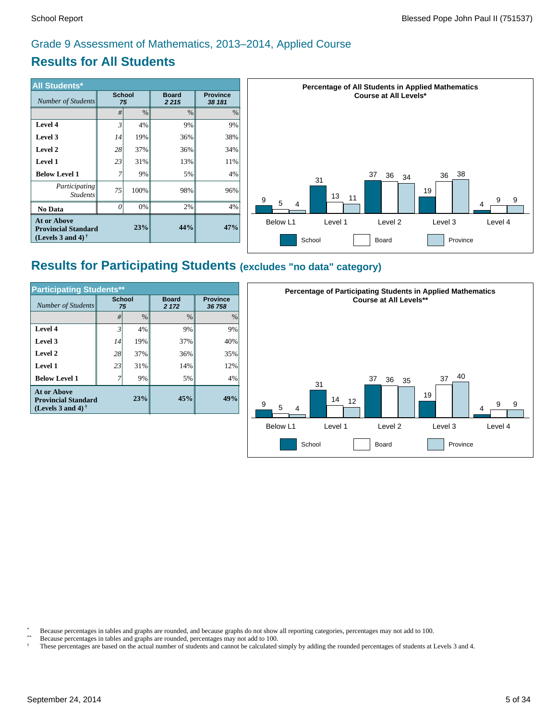# **Results for All Students**

| <b>All Students*</b>                                                              |                     |      |                         |                           |
|-----------------------------------------------------------------------------------|---------------------|------|-------------------------|---------------------------|
| Number of Students                                                                | <b>School</b><br>75 |      | <b>Board</b><br>2 2 1 5 | <b>Province</b><br>38 181 |
|                                                                                   | #                   | $\%$ | $\%$                    | $\%$                      |
| Level 4                                                                           | $\mathfrak{Z}$      | 4%   | 9%                      | 9%                        |
| Level 3                                                                           | 14                  | 19%  | 36%                     | 38%                       |
| Level 2                                                                           | 28                  | 37%  | 36%                     | 34%                       |
| <b>Level 1</b>                                                                    | 23                  | 31%  | 13%                     | 11%                       |
| <b>Below Level 1</b>                                                              | 7                   | 9%   | 5%                      | 4%                        |
| Participating<br><b>Students</b>                                                  | 75                  | 100% | 98%                     | 96%                       |
| <b>No Data</b>                                                                    | $\Omega$            | 0%   | 2%                      | 4%                        |
| <b>At or Above</b><br><b>Provincial Standard</b><br>(Levels 3 and 4) $^{\dagger}$ |                     | 23%  | 44%                     | 47%                       |



# **Results for Participating Students (excludes "no data" category)**

| <b>Participating Students**</b>                                                |                     |      |                       |                           |  |  |
|--------------------------------------------------------------------------------|---------------------|------|-----------------------|---------------------------|--|--|
| Number of Students                                                             | <b>School</b><br>75 |      | <b>Board</b><br>2 172 | <b>Province</b><br>36 758 |  |  |
|                                                                                | #                   | $\%$ | $\frac{0}{0}$         | $\frac{0}{0}$             |  |  |
| Level 4                                                                        | $\mathfrak{Z}$      | 4%   | 9%                    | 9%                        |  |  |
| Level 3                                                                        | 14                  | 19%  | 37%                   | 40%                       |  |  |
| Level 2                                                                        | 28                  | 37%  | 36%                   | 35%                       |  |  |
| Level 1                                                                        | 23                  | 31%  | 14%                   | 12%                       |  |  |
| <b>Below Level 1</b>                                                           |                     | 9%   | 5%                    | 4%                        |  |  |
| <b>At or Above</b><br><b>Provincial Standard</b><br>(Levels 3 and 4) $\dagger$ |                     | 23%  | 45%                   | 49%                       |  |  |



\* Because percentages in tables and graphs are rounded, and because graphs do not show all reporting categories, percentages may not add to 100.

\*\* Because percentages in tables and graphs are rounded, percentages may not add to 100.

† These percentages are based on the actual number of students and cannot be calculated simply by adding the rounded percentages of students at Levels 3 and 4.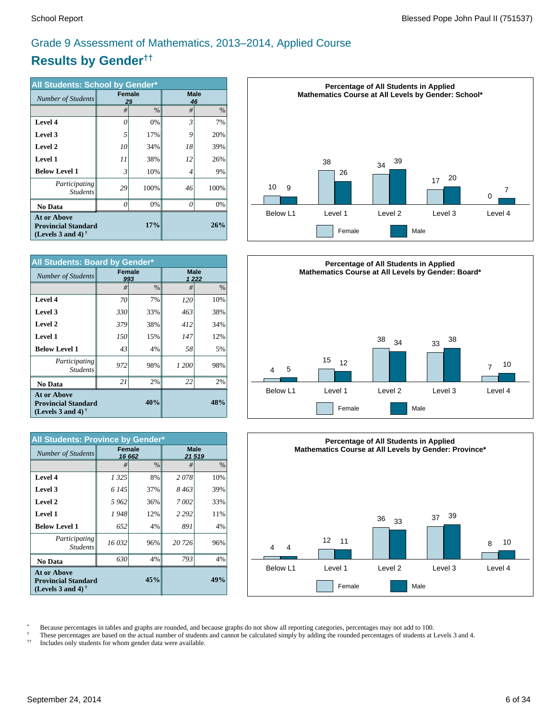# **Results by Gender††** Grade 9 Assessment of Mathematics, 2013–2014, Applied Course

| All Students: School by Gender*                                                                             |                     |               |                   |      |  |
|-------------------------------------------------------------------------------------------------------------|---------------------|---------------|-------------------|------|--|
| Number of Students                                                                                          | <b>Female</b><br>29 |               | <b>Male</b><br>46 |      |  |
|                                                                                                             | #                   | $\frac{0}{0}$ | #                 | %    |  |
| Level 4                                                                                                     | 0                   | 0%            | 3                 | 7%   |  |
| Level 3                                                                                                     | 5                   | 17%           | 9                 | 20%  |  |
| Level 2                                                                                                     | 10                  | 34%           | 18                | 39%  |  |
| <b>Level 1</b>                                                                                              | 11                  | 38%           | 12                | 26%  |  |
| <b>Below Level 1</b>                                                                                        | $\mathfrak{Z}$      | 10%           | 4                 | 9%   |  |
| Participating<br><b>Students</b>                                                                            | 29                  | 100%          | 46                | 100% |  |
| No Data                                                                                                     | 0                   | 0%            | 0                 | 0%   |  |
| <b>At or Above</b><br>17%<br><b>Provincial Standard</b><br>(Levels 3 and 4) <sup><math>\dagger</math></sup> |                     |               |                   | 26%  |  |

| <b>All Students: Board by Gender*</b>                                                 |     |                      |                      |     |  |
|---------------------------------------------------------------------------------------|-----|----------------------|----------------------|-----|--|
| <b>Number of Students</b>                                                             |     | <b>Female</b><br>993 | <b>Male</b><br>1 222 |     |  |
|                                                                                       | #   | $\frac{0}{0}$        | #                    | %   |  |
| Level 4                                                                               | 70  | 7%                   | 120                  | 10% |  |
| Level 3                                                                               | 330 | 33%                  | 463                  | 38% |  |
| <b>Level 2</b>                                                                        | 379 | 38%                  | 412                  | 34% |  |
| <b>Level 1</b>                                                                        | 150 | 15%                  | 147                  | 12% |  |
| <b>Below Level 1</b>                                                                  | 43  | 4%                   | 58                   | 5%  |  |
| Participating<br><b>Students</b>                                                      | 972 | 98%                  | 1 200                | 98% |  |
| No Data                                                                               | 21  | 2%                   | 22                   | 2%  |  |
| <b>At or Above</b><br>40%<br><b>Provincial Standard</b><br>(Levels 3 and 4) $\dagger$ |     |                      |                      | 48% |  |

| <b>All Students: Province by Gender*</b>                                                                    |         |                         |                      |      |  |
|-------------------------------------------------------------------------------------------------------------|---------|-------------------------|----------------------|------|--|
| Number of Students                                                                                          |         | <b>Female</b><br>16 662 | <b>Male</b><br>21519 |      |  |
|                                                                                                             | #       | $\frac{0}{0}$           | #                    | $\%$ |  |
| Level 4                                                                                                     | 1 3 2 5 | 8%                      | 2078                 | 10%  |  |
| Level 3                                                                                                     | 6 145   | 37%                     | 8 463                | 39%  |  |
| Level 2                                                                                                     | 5962    | 36%                     | 7002                 | 33%  |  |
| <b>Level 1</b>                                                                                              | 1948    | 12%                     | 2 2 9 2              | 11%  |  |
| <b>Below Level 1</b>                                                                                        | 652     | 4%                      | 891                  | 4%   |  |
| Participating<br><b>Students</b>                                                                            | 16 032  | 96%                     | 20 726               | 96%  |  |
| No Data                                                                                                     | 630     | 4%                      | 793                  | 4%   |  |
| <b>At or Above</b><br>45%<br><b>Provincial Standard</b><br>(Levels 3 and 4) <sup><math>\dagger</math></sup> |         |                         |                      | 49%  |  |







\* Because percentages in tables and graphs are rounded, and because graphs do not show all reporting categories, percentages may not add to 100.

<sup> $\dagger$ </sup> These percentages are based on the actual number of students and cannot be calculated simply by adding the rounded percentages of students at Levels 3 and 4.<br><sup> $\dagger$ </sup> Includes only students for whom gender data were

†† Includes only students for whom gender data were available.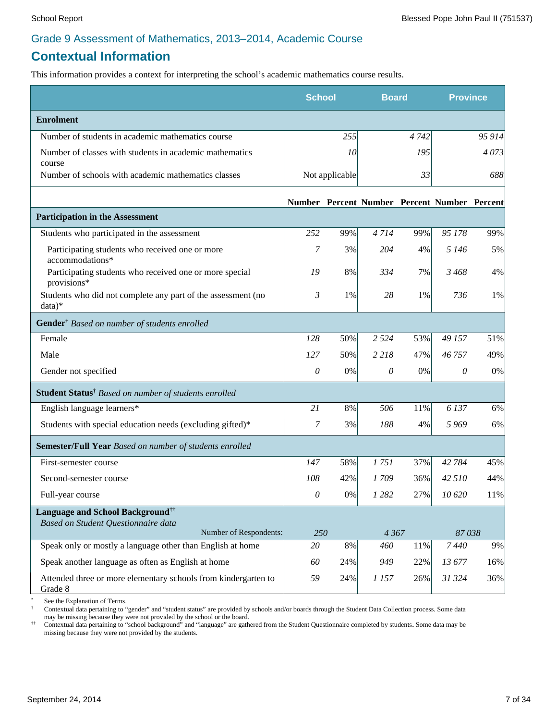# **Contextual Information**

This information provides a context for interpreting the school's academic mathematics course results.

|                                                                                                               | <b>School</b> |                | <b>Board</b>                                 |      | <b>Province</b> |        |
|---------------------------------------------------------------------------------------------------------------|---------------|----------------|----------------------------------------------|------|-----------------|--------|
| <b>Enrolment</b>                                                                                              |               |                |                                              |      |                 |        |
| Number of students in academic mathematics course                                                             |               | 255            |                                              | 4742 |                 | 95 914 |
| Number of classes with students in academic mathematics<br>course                                             |               | 10             |                                              | 195  |                 | 4073   |
| Number of schools with academic mathematics classes                                                           |               | Not applicable |                                              | 33   |                 | 688    |
|                                                                                                               |               |                | Number Percent Number Percent Number Percent |      |                 |        |
| <b>Participation in the Assessment</b>                                                                        |               |                |                                              |      |                 |        |
| Students who participated in the assessment                                                                   | 252           | 99%            | 4714                                         | 99%  | 95 178          | 99%    |
| Participating students who received one or more<br>accommodations*                                            | 7             | 3%             | 204                                          | 4%   | 5 1 4 6         | 5%     |
| Participating students who received one or more special<br>provisions*                                        | 19            | 8%             | 334                                          | 7%   | 3468            | 4%     |
| Students who did not complete any part of the assessment (no<br>data)*                                        | 3             | 1%             | 28                                           | 1%   | 736             | 1%     |
| Gender <sup>†</sup> Based on number of students enrolled                                                      |               |                |                                              |      |                 |        |
| Female                                                                                                        | 128           | 50%            | 2 5 2 4                                      | 53%  | 49 157          | 51%    |
| Male                                                                                                          | 127           | 50%            | 2 2 1 8                                      | 47%  | 46757           | 49%    |
| Gender not specified                                                                                          | 0             | 0%             | 0                                            | 0%   | 0               | 0%     |
| Student Status <sup>†</sup> Based on number of students enrolled                                              |               |                |                                              |      |                 |        |
| English language learners*                                                                                    | 21            | 8%             | 506                                          | 11%  | 6 137           | 6%     |
| Students with special education needs (excluding gifted)*                                                     | 7             | 3%             | 188                                          | 4%   | 5969            | 6%     |
| Semester/Full Year Based on number of students enrolled                                                       |               |                |                                              |      |                 |        |
| First-semester course                                                                                         | 147           | 58%            | 1751                                         | 37%  | 42 784          | 45%    |
| Second-semester course                                                                                        | 108           | 42%            | 1709                                         | 36%  | 42 5 10         | 44%    |
| Full-year course                                                                                              | $\theta$      | 0%             | 1 2 8 2                                      | 27%  | 10 620          | 11%    |
| Language and School Background <sup>††</sup><br>Based on Student Questionnaire data<br>Number of Respondents: | 250           |                | 4 3 6 7                                      |      | 87038           |        |
| Speak only or mostly a language other than English at home                                                    | 20            | 8%             | 460                                          | 11%  | 7440            | 9%     |
| Speak another language as often as English at home                                                            | 60            | 24%            | 949                                          | 22%  | 13 677          | 16%    |
| Attended three or more elementary schools from kindergarten to<br>Grade 8                                     | 59            | 24%            | 1 157                                        | 26%  | 31 324          | 36%    |

See the Explanation of Terms.

† Contextual data pertaining to "gender" and "student status" are provided by schools and/or boards through the Student Data Collection process. Some data may be missing because they were not provided by the school or the board.

†† Contextual data pertaining to "school background" and "language" are gathered from the Student Questionnaire completed by students**.** Some data may be missing because they were not provided by the students.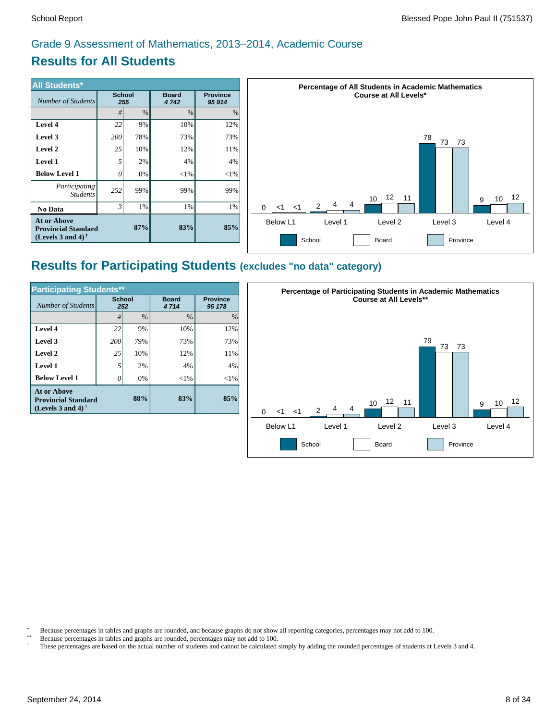# **Results for All Students**

| <b>All Students*</b>                                                           |                      |               |                      |                           |
|--------------------------------------------------------------------------------|----------------------|---------------|----------------------|---------------------------|
| Number of Students                                                             | <b>School</b><br>255 |               | <b>Board</b><br>4742 | <b>Province</b><br>95 914 |
|                                                                                | #                    | $\frac{0}{0}$ | $\%$                 | $\%$                      |
| Level 4                                                                        | 22                   | 9%            | 10%                  | 12%                       |
| Level 3                                                                        | 200                  | 78%           | 73%                  | 73%                       |
| Level 2                                                                        | 25                   | 10%           | 12%                  | 11%                       |
| <b>Level 1</b>                                                                 | 5                    | 2%            | 4%                   | 4%                        |
| <b>Below Level 1</b>                                                           | 0                    | 0%            | $<$ 1%               | $<$ 1%                    |
| Participating<br><b>Students</b>                                               | 252                  | 99%           | 99%                  | 99%                       |
| No Data                                                                        | 3                    | 1%            | 1%                   | 1%                        |
| <b>At or Above</b><br><b>Provincial Standard</b><br>(Levels 3 and 4) $\dagger$ |                      | 87%           | 83%                  | 85%                       |



# **Results for Participating Students (excludes "no data" category)**

| <b>Participating Students**</b>                                                       |                      |      |                      |                           |  |  |  |
|---------------------------------------------------------------------------------------|----------------------|------|----------------------|---------------------------|--|--|--|
| <b>Number of Students</b>                                                             | <b>School</b><br>252 |      | <b>Board</b><br>4714 | <b>Province</b><br>95 178 |  |  |  |
|                                                                                       | #I                   | $\%$ | $\%$                 | $\frac{0}{0}$             |  |  |  |
| Level 4                                                                               | 22                   | 9%   | 10%                  | 12%                       |  |  |  |
| Level 3                                                                               | 200                  | 79%  | 73%                  | 73%                       |  |  |  |
| Level 2                                                                               | 25                   | 10%  | 12%                  | 11%                       |  |  |  |
| Level 1                                                                               | 5                    | 2%   | 4%                   | 4%                        |  |  |  |
| <b>Below Level 1</b>                                                                  | 0                    | 0%   | $<$ 1%               | $<$ 1%                    |  |  |  |
| <b>At or Above</b><br>88%<br><b>Provincial Standard</b><br>(Levels 3 and 4) $\dagger$ |                      |      | 83%                  | 85%                       |  |  |  |



\* Because percentages in tables and graphs are rounded, and because graphs do not show all reporting categories, percentages may not add to 100.

- \*\* Because percentages in tables and graphs are rounded, percentages may not add to 100.
- † These percentages are based on the actual number of students and cannot be calculated simply by adding the rounded percentages of students at Levels 3 and 4.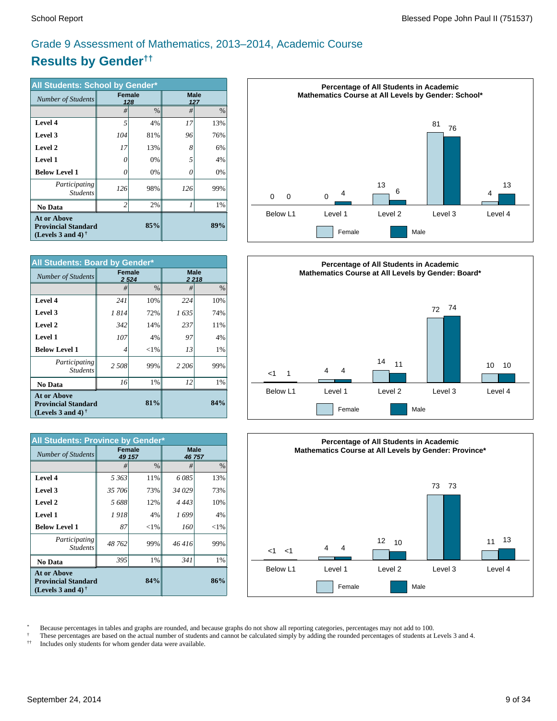# **Results by Gender††** Grade 9 Assessment of Mathematics, 2013–2014, Academic Course

| All Students: School by Gender*                                                       |                |      |     |                    |  |
|---------------------------------------------------------------------------------------|----------------|------|-----|--------------------|--|
| Number of Students                                                                    | <b>Female</b>  | 128  |     | <b>Male</b><br>127 |  |
|                                                                                       | #              | $\%$ | #   | $\frac{0}{0}$      |  |
| Level 4                                                                               | 5              | 4%   | 17  | 13%                |  |
| Level 3                                                                               | 104            | 81%  | 96  | 76%                |  |
| Level 2                                                                               | 17             | 13%  | 8   | 6%                 |  |
| <b>Level 1</b>                                                                        | 0              | 0%   | 5   | 4%                 |  |
| <b>Below Level 1</b>                                                                  | 0              | 0%   | 0   | 0%                 |  |
| Participating<br><b>Students</b>                                                      | 126            | 98%  | 126 | 99%                |  |
| No Data                                                                               | $\overline{2}$ | 2%   | 1   | 1%                 |  |
| <b>At or Above</b><br>85%<br><b>Provincial Standard</b><br>(Levels 3 and 4) $\dagger$ |                |      |     | 89%                |  |

| <b>All Students: Board by Gender*</b>                                                 |               |               |                        |      |  |  |
|---------------------------------------------------------------------------------------|---------------|---------------|------------------------|------|--|--|
| <b>Number of Students</b>                                                             | <b>Female</b> | 2 5 24        | <b>Male</b><br>2 2 1 8 |      |  |  |
|                                                                                       | #             | $\frac{0}{0}$ | #                      | $\%$ |  |  |
| Level 4                                                                               | 241           | 10%           | 224                    | 10%  |  |  |
| Level 3                                                                               | 1814          | 72%           | 1635                   | 74%  |  |  |
| Level 2                                                                               | 342           | 14%           | 237                    | 11%  |  |  |
| <b>Level 1</b>                                                                        | 107           | 4%            | 97                     | 4%   |  |  |
| <b>Below Level 1</b>                                                                  | 4             | ${<}1\%$      | 13                     | 1%   |  |  |
| Participating<br><b>Students</b>                                                      | 2 508         | 99%           | 2 2 0 6                | 99%  |  |  |
| No Data                                                                               | 16            | 1%            | 12                     | 1%   |  |  |
| <b>At or Above</b><br>81%<br><b>Provincial Standard</b><br>(Levels 3 and 4) $\dagger$ |               |               |                        | 84%  |  |  |

| All Students: Province by Gender*                                                                    |               |               |         |                      |  |  |  |  |
|------------------------------------------------------------------------------------------------------|---------------|---------------|---------|----------------------|--|--|--|--|
| Number of Students                                                                                   | <b>Female</b> | 49 157        |         | <b>Male</b><br>46757 |  |  |  |  |
|                                                                                                      | #             | $\frac{0}{0}$ | #       | $\%$                 |  |  |  |  |
| Level 4                                                                                              | 5 363         | 11%           | 6085    | 13%                  |  |  |  |  |
| Level 3                                                                                              | 35 706        | 73%           | 34 029  | 73%                  |  |  |  |  |
| Level 2                                                                                              | 5688          | 12%           | 4 4 4 3 | 10%                  |  |  |  |  |
| <b>Level 1</b>                                                                                       | 1918          | 4%            | 1 699   | 4%                   |  |  |  |  |
| <b>Below Level 1</b>                                                                                 | 87            | ${<}1\%$      | 160     | ${<}1\%$             |  |  |  |  |
| Participating<br><b>Students</b>                                                                     | 48762         | 99%           | 46416   | 99%                  |  |  |  |  |
| No Data                                                                                              | 395           | 1%            | 341     | 1%                   |  |  |  |  |
| <b>At or Above</b><br><b>Provincial Standard</b><br>(Levels 3 and 4) <sup><math>\dagger</math></sup> |               | 86%           |         |                      |  |  |  |  |







\* Because percentages in tables and graphs are rounded, and because graphs do not show all reporting categories, percentages may not add to 100.

<sup> $\dagger$ </sup> These percentages are based on the actual number of students and cannot be calculated simply by adding the rounded percentages of students at Levels 3 and 4.<br><sup> $\dagger$ </sup> Includes only students for whom gender data were

†† Includes only students for whom gender data were available.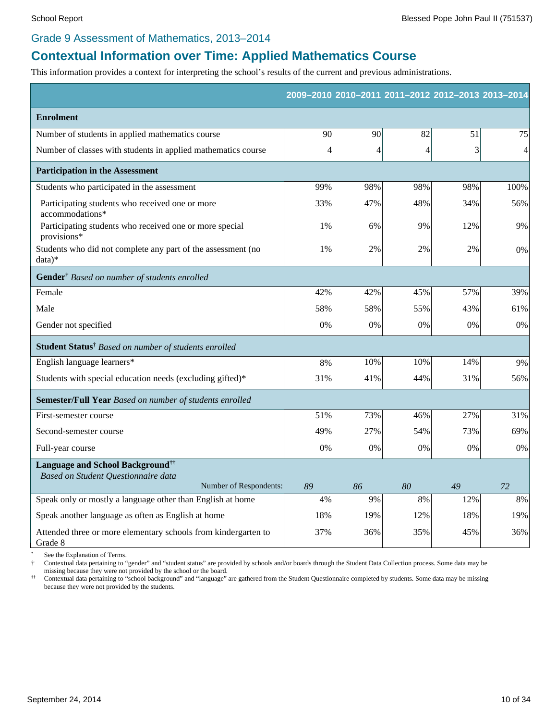#### Grade 9 Assessment of Mathematics, 2013–2014

# **Contextual Information over Time: Applied Mathematics Course**

This information provides a context for interpreting the school's results of the current and previous administrations.

|                                                                           |     |     |     | 2009-2010 2010-2011 2011-2012 2012-2013 2013-2014 |      |
|---------------------------------------------------------------------------|-----|-----|-----|---------------------------------------------------|------|
| <b>Enrolment</b>                                                          |     |     |     |                                                   |      |
| Number of students in applied mathematics course                          | 90  | 90  | 82  | 51                                                | 75   |
| Number of classes with students in applied mathematics course             | 4   | 4   | 4   | 3                                                 | 4    |
| <b>Participation in the Assessment</b>                                    |     |     |     |                                                   |      |
| Students who participated in the assessment                               | 99% | 98% | 98% | 98%                                               | 100% |
| Participating students who received one or more<br>accommodations*        | 33% | 47% | 48% | 34%                                               | 56%  |
| Participating students who received one or more special<br>provisions*    | 1%  | 6%  | 9%  | 12%                                               | 9%   |
| Students who did not complete any part of the assessment (no<br>data)*    | 1%  | 2%  | 2%  | 2%                                                | 0%   |
| Gender <sup>†</sup> Based on number of students enrolled                  |     |     |     |                                                   |      |
| Female                                                                    | 42% | 42% | 45% | 57%                                               | 39%  |
| Male                                                                      | 58% | 58% | 55% | 43%                                               | 61%  |
| Gender not specified                                                      | 0%  | 0%  | 0%  | 0%                                                | 0%   |
| Student Status <sup>†</sup> Based on number of students enrolled          |     |     |     |                                                   |      |
| English language learners*                                                | 8%  | 10% | 10% | 14%                                               | 9%   |
| Students with special education needs (excluding gifted)*                 | 31% | 41% | 44% | 31%                                               | 56%  |
| Semester/Full Year Based on number of students enrolled                   |     |     |     |                                                   |      |
| First-semester course                                                     | 51% | 73% | 46% | 27%                                               | 31%  |
| Second-semester course                                                    | 49% | 27% | 54% | 73%                                               | 69%  |
| Full-year course                                                          | 0%  | 0%  | 0%  | 0%                                                | 0%   |
| Language and School Background <sup>††</sup>                              |     |     |     |                                                   |      |
| Based on Student Questionnaire data<br>Number of Respondents:             | 89  | 86  | 80  | 49                                                | 72   |
| Speak only or mostly a language other than English at home                | 4%  | 9%  | 8%  | 12%                                               | 8%   |
| Speak another language as often as English at home                        | 18% | 19% | 12% | 18%                                               | 19%  |
| Attended three or more elementary schools from kindergarten to<br>Grade 8 | 37% | 36% | 35% | 45%                                               | 36%  |

See the Explanation of Terms.

† Contextual data pertaining to "gender" and "student status" are provided by schools and/or boards through the Student Data Collection process. Some data may be missing because they were not provided by the school or the board.

 $\ddot{\tau} \dot{\tau}$ **††** Contextual data pertaining to "school background" and "language" are gathered from the Student Questionnaire completed by students. Some data may be missing because they were not provided by the students.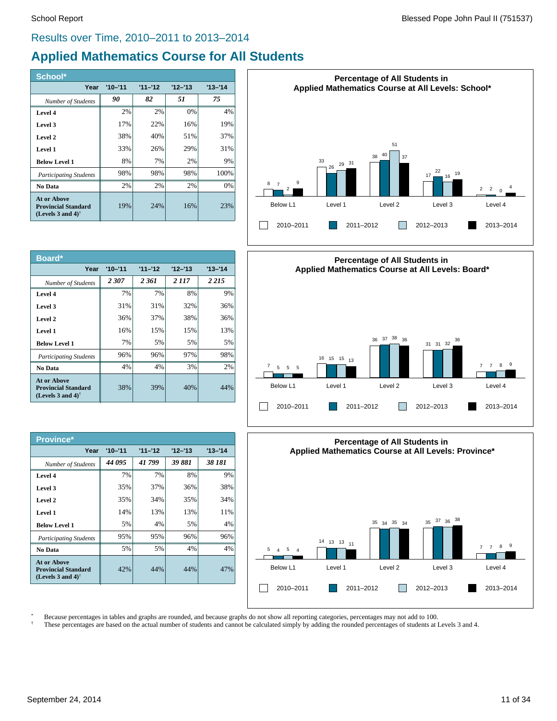## Results over Time, 2010–2011 to 2013–2014

# **Applied Mathematics Course for All Students**

| School*                                                                                              |             |           |           |           |
|------------------------------------------------------------------------------------------------------|-------------|-----------|-----------|-----------|
| Year                                                                                                 | $'10 - '11$ | $11 - 12$ | $12 - 13$ | $13 - 14$ |
| <b>Number of Students</b>                                                                            | 90          | 82        | 51        | 75        |
| Level 4                                                                                              | 2%          | 2%        | 0%        | 4%        |
| Level 3                                                                                              | 17%         | 22%       | 16%       | 19%       |
| Level 2                                                                                              | 38%         | 40%       | 51%       | 37%       |
| Level 1                                                                                              | 33%         | 26%       | 29%       | 31%       |
| <b>Below Level 1</b>                                                                                 | 8%          | 7%        | 2%        | 9%        |
| <b>Participating Students</b>                                                                        | 98%         | 98%       | 98%       | 100%      |
| No Data                                                                                              | 2%          | 2%        | 2%        | 0%        |
| <b>At or Above</b><br><b>Provincial Standard</b><br>(Levels 3 and 4) <sup><math>\dagger</math></sup> | 19%         | 24%       | 16%       | 23%       |

| Board*                                                                                               |             |           |           |           |
|------------------------------------------------------------------------------------------------------|-------------|-----------|-----------|-----------|
| Year                                                                                                 | $'10 - '11$ | $11 - 12$ | $12 - 13$ | $13 - 14$ |
| Number of Students                                                                                   | 2 307       | 2361      | 2 117     | 2 2 1 5   |
| Level 4                                                                                              | 7%          | 7%        | 8%        | 9%        |
| Level 3                                                                                              | 31%         | 31%       | 32%       | 36%       |
| Level 2                                                                                              | 36%         | 37%       | 38%       | 36%       |
| Level 1                                                                                              | 16%         | 15%       | 15%       | 13%       |
| <b>Below Level 1</b>                                                                                 | 7%          | 5%        | 5%        | 5%        |
| <b>Participating Students</b>                                                                        | 96%         | 96%       | 97%       | 98%       |
| No Data                                                                                              | 4%          | 4%        | 3%        | 2%        |
| <b>At or Above</b><br><b>Provincial Standard</b><br>(Levels 3 and 4) <sup><math>\dagger</math></sup> | 38%         | 39%       | 40%       | 44%       |

| Province*                                                                                     |             |           |           |           |
|-----------------------------------------------------------------------------------------------|-------------|-----------|-----------|-----------|
| Year                                                                                          | $'10 - '11$ | $11 - 12$ | $12 - 13$ | $13 - 14$ |
| Number of Students                                                                            | 44 095      | 41799     | 39 881    | 38 181    |
| Level 4                                                                                       | 7%          | 7%        | 8%        | 9%        |
| Level 3                                                                                       | 35%         | 37%       | 36%       | 38%       |
| Level 2                                                                                       | 35%         | 34%       | 35%       | 34%       |
| Level 1                                                                                       | 14%         | 13%       | 13%       | 11%       |
| <b>Below Level 1</b>                                                                          | 5%          | 4%        | 5%        | 4%        |
| <b>Participating Students</b>                                                                 | 95%         | 95%       | 96%       | 96%       |
| No Data                                                                                       | 5%          | 5%        | 4%        | 4%        |
| At or Above<br><b>Provincial Standard</b><br>(Levels 3 and 4) <sup><math>\dagger</math></sup> | 42%         | 44%       | 44%       | 47%       |







\* Because percentages in tables and graphs are rounded, and because graphs do not show all reporting categories, percentages may not add to 100.

† These percentages are based on the actual number of students and cannot be calculated simply by adding the rounded percentages of students at Levels 3 and 4.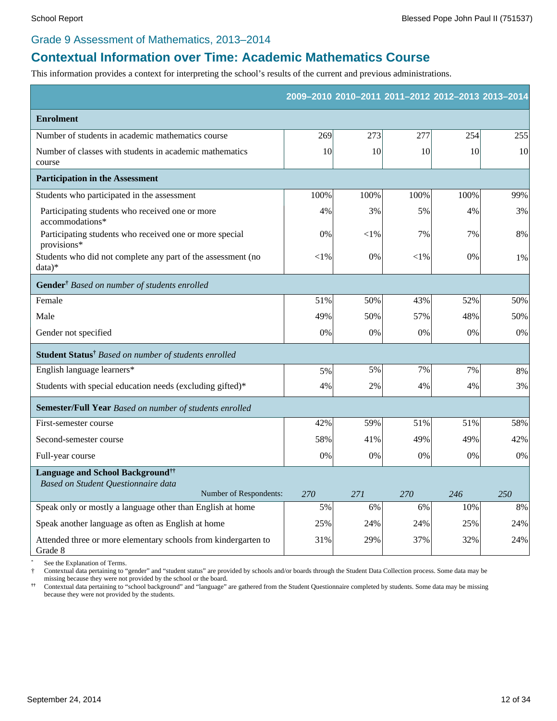#### Grade 9 Assessment of Mathematics, 2013–2014

# **Contextual Information over Time: Academic Mathematics Course**

This information provides a context for interpreting the school's results of the current and previous administrations.

|                                                                           |          |           |        | 2009-2010 2010-2011 2011-2012 2012-2013 2013-2014 |     |
|---------------------------------------------------------------------------|----------|-----------|--------|---------------------------------------------------|-----|
| <b>Enrolment</b>                                                          |          |           |        |                                                   |     |
| Number of students in academic mathematics course                         | 269      | 273       | 277    | 254                                               | 255 |
| Number of classes with students in academic mathematics<br>course         | 10       | 10        | 10     | 10                                                | 10  |
| <b>Participation in the Assessment</b>                                    |          |           |        |                                                   |     |
| Students who participated in the assessment                               | 100%     | 100%      | 100%   | 100%                                              | 99% |
| Participating students who received one or more<br>accommodations*        | 4%       | 3%        | 5%     | 4%                                                | 3%  |
| Participating students who received one or more special<br>provisions*    | 0%       | $<$ l $%$ | 7%     | 7%                                                | 8%  |
| Students who did not complete any part of the assessment (no<br>$data)*$  | ${<}1\%$ | 0%        | $<$ 1% | 0%                                                | 1%  |
| Gender <sup>†</sup> Based on number of students enrolled                  |          |           |        |                                                   |     |
| Female                                                                    | 51%      | 50%       | 43%    | 52%                                               | 50% |
| Male                                                                      | 49%      | 50%       | 57%    | 48%                                               | 50% |
| Gender not specified                                                      | 0%       | 0%        | 0%     | 0%                                                | 0%  |
| Student Status <sup>†</sup> Based on number of students enrolled          |          |           |        |                                                   |     |
| English language learners*                                                | 5%       | 5%        | 7%     | 7%                                                | 8%  |
| Students with special education needs (excluding gifted)*                 | 4%       | 2%        | 4%     | 4%                                                | 3%  |
| Semester/Full Year Based on number of students enrolled                   |          |           |        |                                                   |     |
| First-semester course                                                     | 42%      | 59%       | 51%    | 51%                                               | 58% |
| Second-semester course                                                    | 58%      | 41%       | 49%    | 49%                                               | 42% |
| Full-year course                                                          | 0%       | 0%        | 0%     | 0%                                                | 0%  |
| Language and School Background <sup>††</sup>                              |          |           |        |                                                   |     |
| Based on Student Questionnaire data<br>Number of Respondents:             | 270      | 271       | 270    | 246                                               | 250 |
| Speak only or mostly a language other than English at home                | 5%       | 6%        | 6%     | 10%                                               | 8%  |
| Speak another language as often as English at home                        | 25%      | 24%       | 24%    | 25%                                               | 24% |
| Attended three or more elementary schools from kindergarten to<br>Grade 8 | 31%      | 29%       | 37%    | 32%                                               | 24% |

See the Explanation of Terms.

† Contextual data pertaining to "gender" and "student status" are provided by schools and/or boards through the Student Data Collection process. Some data may be missing because they were not provided by the school or the board.

 $\ddot{\uparrow} \dot{\uparrow}$ **††** Contextual data pertaining to "school background" and "language" are gathered from the Student Questionnaire completed by students. Some data may be missing because they were not provided by the students.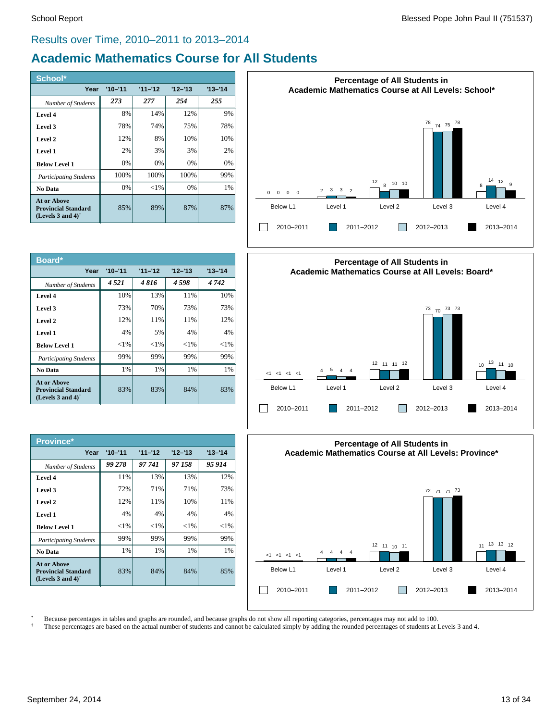## Results over Time, 2010–2011 to 2013–2014

# **Academic Mathematics Course for All Students**

| School*                                                                                       |             |           |           |           |
|-----------------------------------------------------------------------------------------------|-------------|-----------|-----------|-----------|
| Year                                                                                          | $'10 - '11$ | $11 - 12$ | $12 - 13$ | $13 - 14$ |
| Number of Students                                                                            | 273         | 277       | 254       | 255       |
| Level 4                                                                                       | 8%          | 14%       | 12%       | 9%        |
| Level 3                                                                                       | 78%         | 74%       | 75%       | 78%       |
| Level 2                                                                                       | 12%         | 8%        | 10%       | 10%       |
| Level 1                                                                                       | 2%          | 3%        | 3%        | 2%        |
| <b>Below Level 1</b>                                                                          | 0%          | 0%        | 0%        | 0%        |
| <b>Participating Students</b>                                                                 | 100%        | 100%      | 100%      | 99%       |
| No Data                                                                                       | 0%          | ${<}1\%$  | 0%        | 1%        |
| At or Above<br><b>Provincial Standard</b><br>(Levels 3 and 4) <sup><math>\dagger</math></sup> | 85%         | 89%       | 87%       | 87%       |

| Board*                                                                     |             |           |           |           |
|----------------------------------------------------------------------------|-------------|-----------|-----------|-----------|
| Year                                                                       | $'10 - '11$ | $11 - 12$ | $12 - 13$ | $13 - 14$ |
| Number of Students                                                         | 4.521       | 4816      | 4598      | 4742      |
| Level 4                                                                    | 10%         | 13%       | 11%       | 10%       |
| Level 3                                                                    | 73%         | 70%       | 73%       | 73%       |
| Level 2                                                                    | 12%         | 11%       | 11%       | 12%       |
| Level 1                                                                    | 4%          | 5%        | 4%        | 4%        |
| <b>Below Level 1</b>                                                       | ${<}1\%$    | ${<}1\%$  | ${<}1\%$  | ${<}1\%$  |
| <b>Participating Students</b>                                              | 99%         | 99%       | 99%       | 99%       |
| No Data                                                                    | $1\%$       | $1\%$     | 1%        | 1%        |
| At or Above<br><b>Provincial Standard</b><br>(Levels 3 and 4) <sup>†</sup> | 83%         | 83%       | 84%       | 83%       |

| Province*                                                                                            |             |           |           |           |
|------------------------------------------------------------------------------------------------------|-------------|-----------|-----------|-----------|
| Year                                                                                                 | $'10 - '11$ | $11 - 12$ | $12 - 13$ | $13 - 14$ |
| Number of Students                                                                                   | 99 278      | 97 741    | 97 158    | 95 914    |
| Level 4                                                                                              | 11%         | 13%       | 13%       | 12%       |
| Level 3                                                                                              | 72%         | 71%       | 71%       | 73%       |
| Level 2                                                                                              | 12%         | 11%       | 10%       | 11%       |
| Level 1                                                                                              | 4%          | 4%        | 4%        | 4%        |
| <b>Below Level 1</b>                                                                                 | ${<}1\%$    | ${<}1\%$  | ${<}1\%$  | ${<}1\%$  |
| <b>Participating Students</b>                                                                        | 99%         | 99%       | 99%       | 99%       |
| No Data                                                                                              | $1\%$       | 1%        | 1%        | 1%        |
| <b>At or Above</b><br><b>Provincial Standard</b><br>(Levels 3 and 4) <sup><math>\dagger</math></sup> | 83%         | 84%       | 84%       | 85%       |







\* Because percentages in tables and graphs are rounded, and because graphs do not show all reporting categories, percentages may not add to 100.

† These percentages are based on the actual number of students and cannot be calculated simply by adding the rounded percentages of students at Levels 3 and 4.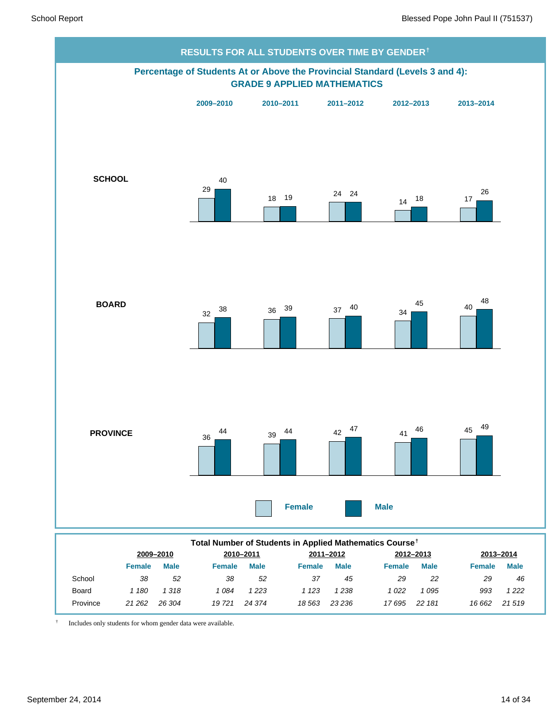

|          |               | 2009-2010   |               | 2010-2011   |               | 2011-2012   |        | 2012-2013 |               | 2013-2014   |  |
|----------|---------------|-------------|---------------|-------------|---------------|-------------|--------|-----------|---------------|-------------|--|
|          | <b>Female</b> | <b>Male</b> | <b>Female</b> | <b>Male</b> | <b>Female</b> | <b>Male</b> | Female | Male      | <b>Female</b> | <b>Male</b> |  |
| School   | 38            | 52          | 38            | -52         | 37            | 45          | 29     | 22        | 29            | 46          |  |
| Board    | ' 180         | 1318        | 1 084         | 1 2 2 3     | 1 123         | 1 2 3 8     | 022    | 095       | 993           | 1 2 2 2     |  |
| Province | 21 262        | 26 304      | 19721         | 24 374      | 18 563        | 23 236      | 17695  | 22 181    | 16 662        | 21519       |  |

† Includes only students for whom gender data were available.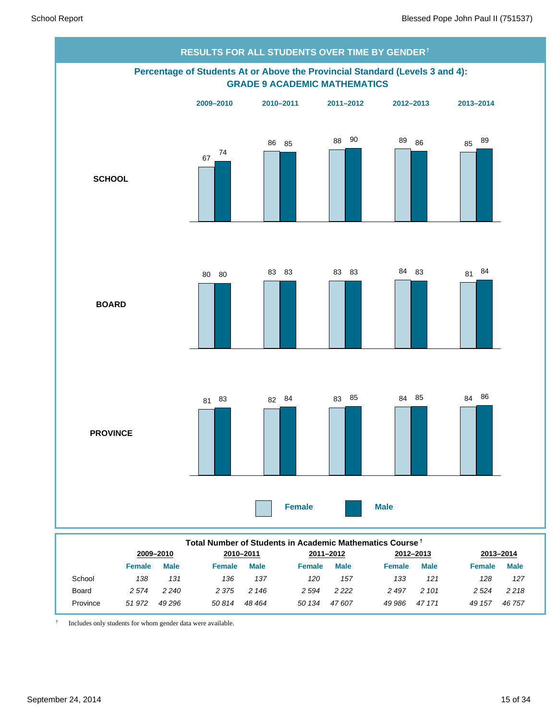

|          | Total Number of Students in Academic Mathematics Course <sup>†</sup> |             |               |             |           |             |         |             |               |             |  |
|----------|----------------------------------------------------------------------|-------------|---------------|-------------|-----------|-------------|---------|-------------|---------------|-------------|--|
|          |                                                                      | 2009-2010   |               | 2010-2011   | 2011-2012 |             |         | 2012-2013   | 2013-2014     |             |  |
|          | <b>Female</b>                                                        | <b>Male</b> | <b>Female</b> | <b>Male</b> | Female    | <b>Male</b> | Female  | <b>Male</b> | <b>Female</b> | <b>Male</b> |  |
| School   | 138                                                                  | 131         | 136           | 137         | 120       | 157         | 133     | 121         | 128           | 127         |  |
| Board    | 2 5 7 4                                                              | 2 2 4 0     | 2 375         | 2 146       | 2 5 9 4   | 2 2 2 2     | 2 4 9 7 | 2 101       | 2 5 24        | 2 2 1 8     |  |
| Province | 51972                                                                | 49 296      | 50 814        | 48 464      | 50 134    | 47607       | 49 986  | 47 171      | 49 157        | 46 757      |  |

† Includes only students for whom gender data were available.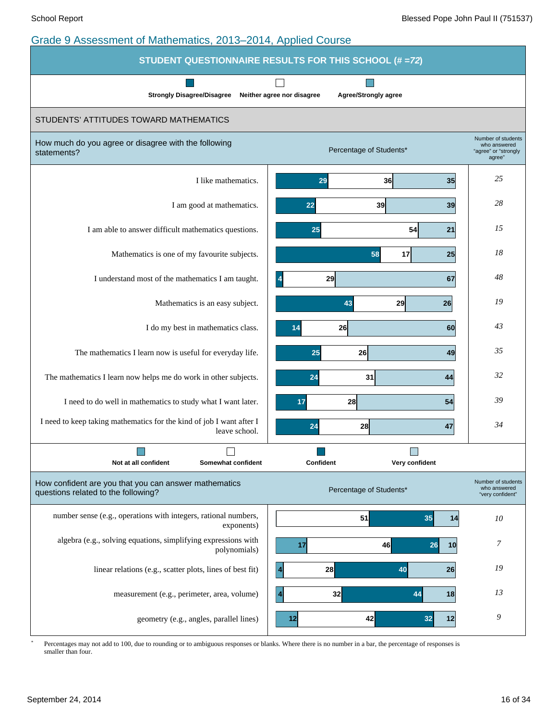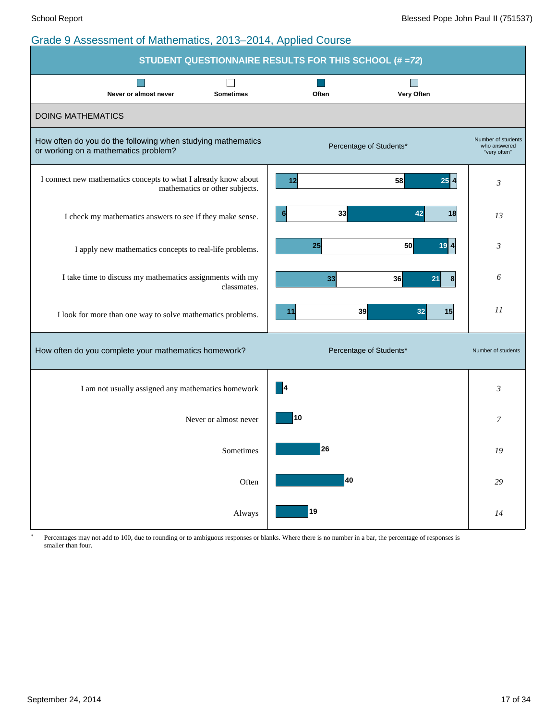|                                                                                                     | STUDENT QUESTIONNAIRE RESULTS FOR THIS SCHOOL (# =72) |                                                    |
|-----------------------------------------------------------------------------------------------------|-------------------------------------------------------|----------------------------------------------------|
| <b>Sometimes</b><br>Never or almost never                                                           | Often<br>Very Often                                   |                                                    |
| <b>DOING MATHEMATICS</b>                                                                            |                                                       |                                                    |
| How often do you do the following when studying mathematics<br>or working on a mathematics problem? | Percentage of Students*                               | Number of students<br>who answered<br>"very often" |
| I connect new mathematics concepts to what I already know about<br>mathematics or other subjects.   | $25\vert 4$<br>58<br>12                               | 3                                                  |
| I check my mathematics answers to see if they make sense.                                           | 33<br>42<br>6<br>18                                   | 13                                                 |
| I apply new mathematics concepts to real-life problems.                                             | $19$ <sup><math>1</math></sup><br>25<br>50            | 3                                                  |
| I take time to discuss my mathematics assignments with my<br>classmates.                            | 33<br>36<br>21<br>8 <sup>1</sup>                      | 6                                                  |
| I look for more than one way to solve mathematics problems.                                         | 39<br>32<br>15<br>11                                  | $_{II}$                                            |
| How often do you complete your mathematics homework?                                                | Percentage of Students*                               | Number of students                                 |
| I am not usually assigned any mathematics homework                                                  | $\vert 4$                                             | 3                                                  |
| Never or almost never                                                                               | 10                                                    | $\overline{7}$                                     |
| Sometimes                                                                                           | 26                                                    | 19                                                 |
| Often                                                                                               | 40                                                    | 29                                                 |
| Always                                                                                              | 19                                                    | 14                                                 |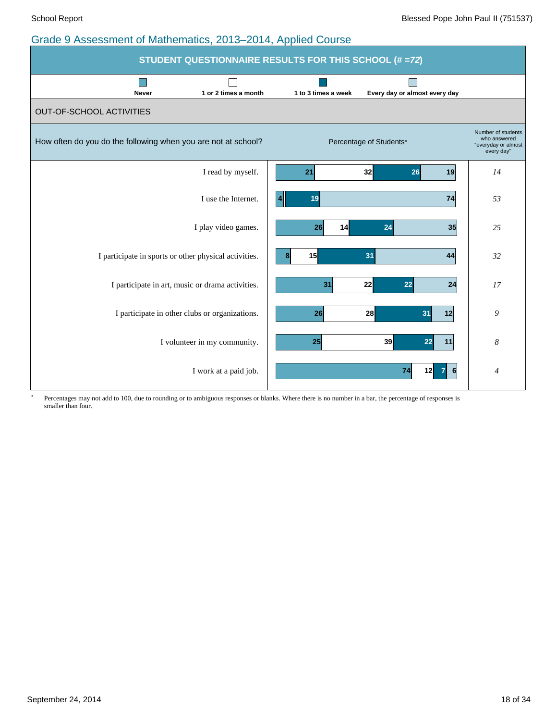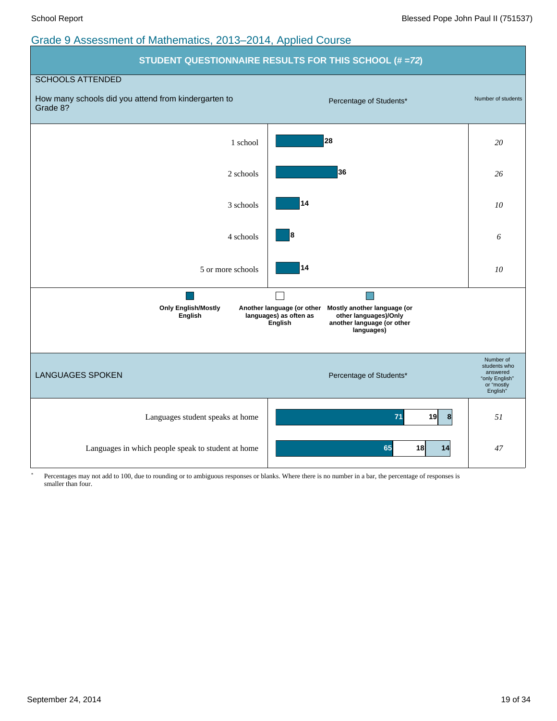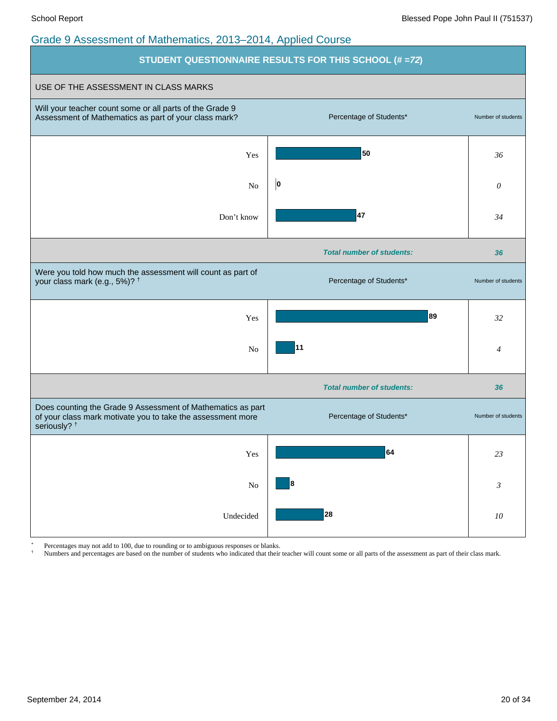

Percentages may not add to 100, due to rounding or to ambiguous responses or blanks.

† Numbers and percentages are based on the number of students who indicated that their teacher will count some or all parts of the assessment as part of their class mark.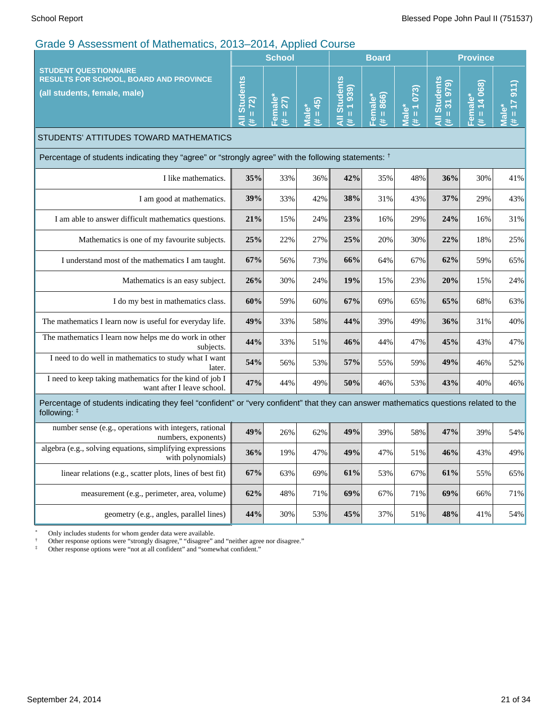|                                                                                                                                                         | School                           |                           |                 | <b>Board</b>                                                                                                                                                                                                                                                                         |                                              |                    | <b>Province</b>                                       |                        |                                                                                                                                                                                                                                                                                                                                                                                                                                                                                                                                       |
|---------------------------------------------------------------------------------------------------------------------------------------------------------|----------------------------------|---------------------------|-----------------|--------------------------------------------------------------------------------------------------------------------------------------------------------------------------------------------------------------------------------------------------------------------------------------|----------------------------------------------|--------------------|-------------------------------------------------------|------------------------|---------------------------------------------------------------------------------------------------------------------------------------------------------------------------------------------------------------------------------------------------------------------------------------------------------------------------------------------------------------------------------------------------------------------------------------------------------------------------------------------------------------------------------------|
| <b>STUDENT QUESTIONNAIRE</b><br><b>RESULTS FOR SCHOOL, BOARD AND PROVINCE</b><br>(all students, female, male)                                           | <b>All Students</b><br>$# = 72)$ | emale<br>$= 27$<br>$\ast$ | $= 45$<br>Male* | <b>All Students</b><br>(6561)<br>$\mathbf{H}% =\mathbf{H}^{T}\mathbf{v}^{T}\mathbf{v}^{T}\mathbf{v}^{T}+\mathbf{H}^{T}\mathbf{v}^{T}\mathbf{v}^{T}+\mathbf{H}^{T}\mathbf{v}^{T}\mathbf{v}^{T}+\mathbf{H}^{T}\mathbf{v}^{T}\mathbf{v}^{T}+\mathbf{H}^{T}\mathbf{v}^{T}\mathbf{v}^{T}$ | 866)<br>Female*<br>$\mathbf{u}$<br>$\ddot{}$ | $= 1073$<br>Viale* | <b>All Students</b><br>31979<br>$\mathbf u$<br>$\ast$ | $# = 14068$<br>Female* | 911)<br>Male<br>$\mathbf{H}% _{0}\left( t\right) \equiv\mathbf{H}_{\mathrm{H}}\left( t\right) \equiv\mathbf{H}_{\mathrm{H}}\left( t\right) \equiv\mathbf{H}_{\mathrm{H}}\left( t\right) \equiv\mathbf{H}_{\mathrm{H}}\left( t\right) \equiv\mathbf{H}_{\mathrm{H}}\left( t\right) \equiv\mathbf{H}_{\mathrm{H}}\left( t\right) \equiv\mathbf{H}_{\mathrm{H}}\left( t\right) \equiv\mathbf{H}_{\mathrm{H}}\left( t\right) \equiv\mathbf{H}_{\mathrm{H}}\left( t\right) \equiv\mathbf{H}_{\mathrm{H}}\left( t\right) \equiv\math$<br>#. |
| STUDENTS' ATTITUDES TOWARD MATHEMATICS                                                                                                                  |                                  |                           |                 |                                                                                                                                                                                                                                                                                      |                                              |                    |                                                       |                        |                                                                                                                                                                                                                                                                                                                                                                                                                                                                                                                                       |
| Percentage of students indicating they "agree" or "strongly agree" with the following statements: <sup>†</sup>                                          |                                  |                           |                 |                                                                                                                                                                                                                                                                                      |                                              |                    |                                                       |                        |                                                                                                                                                                                                                                                                                                                                                                                                                                                                                                                                       |
| I like mathematics.                                                                                                                                     | 35%                              | 33%                       | 36%             | 42%                                                                                                                                                                                                                                                                                  | 35%                                          | 48%                | 36%                                                   | 30%                    | 41%                                                                                                                                                                                                                                                                                                                                                                                                                                                                                                                                   |
| I am good at mathematics.                                                                                                                               | 39%                              | 33%                       | 42%             | 38%                                                                                                                                                                                                                                                                                  | 31%                                          | 43%                | 37%                                                   | 29%                    | 43%                                                                                                                                                                                                                                                                                                                                                                                                                                                                                                                                   |
| I am able to answer difficult mathematics questions.                                                                                                    | 21%                              | 15%                       | 24%             | 23%                                                                                                                                                                                                                                                                                  | 16%                                          | 29%                | 24%                                                   | 16%                    | 31%                                                                                                                                                                                                                                                                                                                                                                                                                                                                                                                                   |
| Mathematics is one of my favourite subjects.                                                                                                            | 25%                              | 22%                       | 27%             | 25%                                                                                                                                                                                                                                                                                  | 20%                                          | 30%                | 22%                                                   | 18%                    | 25%                                                                                                                                                                                                                                                                                                                                                                                                                                                                                                                                   |
| I understand most of the mathematics I am taught.                                                                                                       | 67%                              | 56%                       | 73%             | 66%                                                                                                                                                                                                                                                                                  | 64%                                          | 67%                | 62%                                                   | 59%                    | 65%                                                                                                                                                                                                                                                                                                                                                                                                                                                                                                                                   |
| Mathematics is an easy subject.                                                                                                                         | 26%                              | 30%                       | 24%             | 19%                                                                                                                                                                                                                                                                                  | 15%                                          | 23%                | 20%                                                   | 15%                    | 24%                                                                                                                                                                                                                                                                                                                                                                                                                                                                                                                                   |
| I do my best in mathematics class.                                                                                                                      | 60%                              | 59%                       | 60%             | 67%                                                                                                                                                                                                                                                                                  | 69%                                          | 65%                | 65%                                                   | 68%                    | 63%                                                                                                                                                                                                                                                                                                                                                                                                                                                                                                                                   |
| The mathematics I learn now is useful for everyday life.                                                                                                | 49%                              | 33%                       | 58%             | 44%                                                                                                                                                                                                                                                                                  | 39%                                          | 49%                | 36%                                                   | 31%                    | 40%                                                                                                                                                                                                                                                                                                                                                                                                                                                                                                                                   |
| The mathematics I learn now helps me do work in other<br>subjects.                                                                                      | 44%                              | 33%                       | 51%             | 46%                                                                                                                                                                                                                                                                                  | 44%                                          | 47%                | 45%                                                   | 43%                    | 47%                                                                                                                                                                                                                                                                                                                                                                                                                                                                                                                                   |
| I need to do well in mathematics to study what I want<br>later.                                                                                         | 54%                              | 56%                       | 53%             | 57%                                                                                                                                                                                                                                                                                  | 55%                                          | 59%                | 49%                                                   | 46%                    | 52%                                                                                                                                                                                                                                                                                                                                                                                                                                                                                                                                   |
| I need to keep taking mathematics for the kind of job I<br>want after I leave school.                                                                   | 47%                              | 44%                       | 49%             | 50%                                                                                                                                                                                                                                                                                  | 46%                                          | 53%                | 43%                                                   | 40%                    | 46%                                                                                                                                                                                                                                                                                                                                                                                                                                                                                                                                   |
| Percentage of students indicating they feel "confident" or "very confident" that they can answer mathematics questions related to the<br>following: $‡$ |                                  |                           |                 |                                                                                                                                                                                                                                                                                      |                                              |                    |                                                       |                        |                                                                                                                                                                                                                                                                                                                                                                                                                                                                                                                                       |
| number sense (e.g., operations with integers, rational<br>numbers, exponents)                                                                           | 49%                              | 26%                       | 62%             | 49%                                                                                                                                                                                                                                                                                  | 39%                                          | 58%                | 47%                                                   | 39%                    | 54%                                                                                                                                                                                                                                                                                                                                                                                                                                                                                                                                   |
| algebra (e.g., solving equations, simplifying expressions<br>with polynomials)                                                                          | 36%                              | 19%                       | 47%             | 49%                                                                                                                                                                                                                                                                                  | 47%                                          | 51%                | 46%                                                   | 43%                    | 49%                                                                                                                                                                                                                                                                                                                                                                                                                                                                                                                                   |
| linear relations (e.g., scatter plots, lines of best fit)                                                                                               | 67%                              | 63%                       | 69%             | 61%                                                                                                                                                                                                                                                                                  | 53%                                          | 67%                | 61%                                                   | 55%                    | 65%                                                                                                                                                                                                                                                                                                                                                                                                                                                                                                                                   |
| measurement (e.g., perimeter, area, volume)                                                                                                             | 62%                              | 48%                       | 71%             | 69%                                                                                                                                                                                                                                                                                  | 67%                                          | 71%                | 69%                                                   | 66%                    | 71%                                                                                                                                                                                                                                                                                                                                                                                                                                                                                                                                   |
| geometry (e.g., angles, parallel lines)                                                                                                                 | 44%                              | 30%                       | 53%             | 45%                                                                                                                                                                                                                                                                                  | 37%                                          | 51%                | 48%                                                   | 41%                    | 54%                                                                                                                                                                                                                                                                                                                                                                                                                                                                                                                                   |

\* Only includes students for whom gender data were available.

† Other response options were "strongly disagree," "disagree" and "neither agree nor disagree."

‡ Other response options were "not at all confident" and "somewhat confident."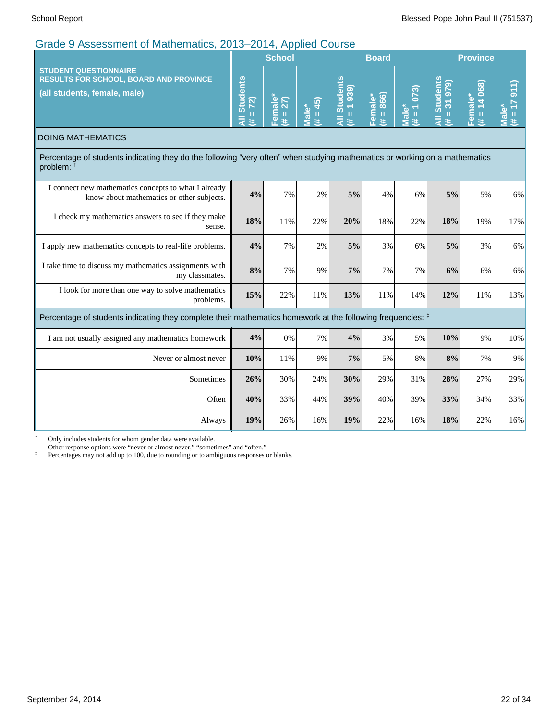|                                                                                                                                                     |                                             | <b>School</b>           |                                                                                                                                                                                    |                                  | <b>Board</b>                        |                                                             | <b>Province</b>                                                                 |                                                      |                                             |  |
|-----------------------------------------------------------------------------------------------------------------------------------------------------|---------------------------------------------|-------------------------|------------------------------------------------------------------------------------------------------------------------------------------------------------------------------------|----------------------------------|-------------------------------------|-------------------------------------------------------------|---------------------------------------------------------------------------------|------------------------------------------------------|---------------------------------------------|--|
| <b>STUDENT QUESTIONNAIRE</b><br><b>RESULTS FOR SCHOOL, BOARD AND PROVINCE</b><br>(all students, female, male)                                       | <b>Students</b><br>$= 72$<br>$\bar{a}$<br># | Female<br>27)<br>Ш<br>共 | 45)<br>Male*<br>$\mathbf{H}% =\mathbf{H}^{T}\mathbf{v}^{T}\mathbf{v}^{T}\mathbf{v}^{T}+\mathbf{H}^{T}\mathbf{v}^{T}\mathbf{v}^{T}+\mathbf{H}^{T}\mathbf{v}^{T}\mathbf{v}^{T}$<br>共 | All Students<br>(6561)<br>Ш<br># | 866)<br>Female*<br>$\mathbf H$<br>共 | 073)<br>ؙٶ<br>$\mathbf{H}$<br>$\bar{\bar{\mathbf{g}}}$<br># | <b>Students</b><br>(62.6)<br>$\overline{\mathcal{S}}$<br>Ш<br>$\bar{a}$<br>$\#$ | 068)<br>Female*<br>$\overline{\textbf{v}}$<br>Ш<br>共 | 911)<br>Ш<br>$\overline{\mathfrak{a}}$<br>巷 |  |
| <b>DOING MATHEMATICS</b>                                                                                                                            |                                             |                         |                                                                                                                                                                                    |                                  |                                     |                                                             |                                                                                 |                                                      |                                             |  |
| Percentage of students indicating they do the following "very often" when studying mathematics or working on a mathematics<br>problem: <sup>†</sup> |                                             |                         |                                                                                                                                                                                    |                                  |                                     |                                                             |                                                                                 |                                                      |                                             |  |
| I connect new mathematics concepts to what I already<br>know about mathematics or other subjects.                                                   | 4%                                          | 7%                      | 2%                                                                                                                                                                                 | 5%                               | 4%                                  | 6%                                                          | 5%                                                                              | 5%                                                   | 6%                                          |  |
| I check my mathematics answers to see if they make<br>sense.                                                                                        | 18%                                         | 11%                     | 22%                                                                                                                                                                                | 20%                              | 18%                                 | 22%                                                         | 18%                                                                             | 19%                                                  | 17%                                         |  |
| I apply new mathematics concepts to real-life problems.                                                                                             | 4%                                          | 7%                      | 2%                                                                                                                                                                                 | 5%                               | 3%                                  | 6%                                                          | 5%                                                                              | 3%                                                   | 6%                                          |  |
| I take time to discuss my mathematics assignments with<br>my classmates.                                                                            | 8%                                          | 7%                      | 9%                                                                                                                                                                                 | 7%                               | 7%                                  | 7%                                                          | 6%                                                                              | 6%                                                   | 6%                                          |  |
| I look for more than one way to solve mathematics<br>problems.                                                                                      | 15%                                         | 22%                     | 11%                                                                                                                                                                                | 13%                              | 11%                                 | 14%                                                         | 12%                                                                             | 11%                                                  | 13%                                         |  |
| Percentage of students indicating they complete their mathematics homework at the following frequencies: #                                          |                                             |                         |                                                                                                                                                                                    |                                  |                                     |                                                             |                                                                                 |                                                      |                                             |  |
| I am not usually assigned any mathematics homework                                                                                                  | 4%                                          | 0%                      | 7%                                                                                                                                                                                 | 4%                               | 3%                                  | 5%                                                          | 10%                                                                             | 9%                                                   | 10%                                         |  |
| Never or almost never                                                                                                                               | 10%                                         | 11%                     | 9%                                                                                                                                                                                 | 7%                               | 5%                                  | 8%                                                          | 8%                                                                              | 7%                                                   | 9%                                          |  |
| Sometimes                                                                                                                                           | 26%                                         | 30%                     | 24%                                                                                                                                                                                | 30%                              | 29%                                 | 31%                                                         | 28%                                                                             | 27%                                                  | 29%                                         |  |
| Often                                                                                                                                               | 40%                                         | 33%                     | 44%                                                                                                                                                                                | 39%                              | 40%                                 | 39%                                                         | 33%                                                                             | 34%                                                  | 33%                                         |  |
| Always                                                                                                                                              | 19%                                         | 26%                     | 16%                                                                                                                                                                                | 19%                              | 22%                                 | 16%                                                         | 18%                                                                             | 22%                                                  | 16%                                         |  |

\* Only includes students for whom gender data were available.

† Other response options were "never or almost never," "sometimes" and "often."

<sup>‡</sup> Percentages may not add up to 100, due to rounding or to ambiguous responses or blanks.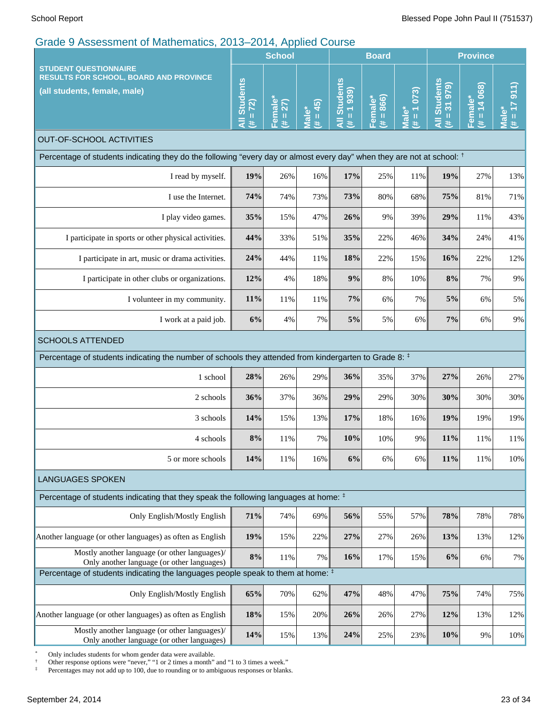|                                                                                                                                   |       | <b>School</b>       |                                |                                       | <b>Board</b>         |                                  | <b>Province</b>                                |                           |                                            |
|-----------------------------------------------------------------------------------------------------------------------------------|-------|---------------------|--------------------------------|---------------------------------------|----------------------|----------------------------------|------------------------------------------------|---------------------------|--------------------------------------------|
| <b>STUDENT QUESTIONNAIRE</b><br><b>RESULTS FOR SCHOOL, BOARD AND PROVINCE</b><br>(all students, female, male)                     |       | Female*<br>27)<br># | $(\overline{H} = 45)$<br>Male* | <b>All Students</b><br>$(\pm = 1939)$ | $* = 866$<br>Female* | $# = 1073$<br><sup>*</sup> ∍lale | <b>Students</b><br>$= 31979$<br>$\bar{a}$<br>艺 | $= 14068$<br>Female*<br>进 | $\overline{911}$<br>$T = #$<br><b>Male</b> |
| <b>OUT-OF-SCHOOL ACTIVITIES</b>                                                                                                   |       |                     |                                |                                       |                      |                                  |                                                |                           |                                            |
| Percentage of students indicating they do the following "every day or almost every day" when they are not at school: <sup>†</sup> |       |                     |                                |                                       |                      |                                  |                                                |                           |                                            |
| I read by myself.                                                                                                                 | 19%   | 26%                 | 16%                            | 17%                                   | 25%                  | 11%                              | 19%                                            | 27%                       | 13%                                        |
| I use the Internet.                                                                                                               | 74%   | 74%                 | 73%                            | 73%                                   | 80%                  | 68%                              | 75%                                            | 81%                       | 71%                                        |
| I play video games.                                                                                                               | 35%   | 15%                 | 47%                            | 26%                                   | 9%                   | 39%                              | 29%                                            | 11%                       | 43%                                        |
| I participate in sports or other physical activities.                                                                             | 44%   | 33%                 | 51%                            | 35%                                   | 22%                  | 46%                              | 34%                                            | 24%                       | 41%                                        |
| I participate in art, music or drama activities.                                                                                  |       | 44%                 | 11%                            | 18%                                   | 22%                  | 15%                              | 16%                                            | 22%                       | 12%                                        |
| I participate in other clubs or organizations.                                                                                    |       | 4%                  | 18%                            | 9%                                    | 8%                   | 10%                              | 8%                                             | 7%                        | 9%                                         |
| I volunteer in my community.                                                                                                      |       | 11%                 | 11%                            | 7%                                    | 6%                   | 7%                               | 5%                                             | 6%                        | 5%                                         |
| I work at a paid job.                                                                                                             |       | 4%                  | 7%                             | $5\%$                                 | 5%                   | 6%                               | 7%                                             | 6%                        | 9%                                         |
| <b>SCHOOLS ATTENDED</b>                                                                                                           |       |                     |                                |                                       |                      |                                  |                                                |                           |                                            |
| Percentage of students indicating the number of schools they attended from kindergarten to Grade 8: #                             |       |                     |                                |                                       |                      |                                  |                                                |                           |                                            |
| 1 school                                                                                                                          | 28%   | 26%                 | 29%                            | 36%                                   | 35%                  | 37%                              | 27%                                            | 26%                       | 27%                                        |
| 2 schools                                                                                                                         | 36%   | 37%                 | 36%                            | 29%                                   | 29%                  | 30%                              | 30%                                            | 30%                       | 30%                                        |
| 3 schools                                                                                                                         | 14%   | 15%                 | 13%                            | 17%                                   | 18%                  | 16%                              | 19%                                            | 19%                       | 19%                                        |
| 4 schools                                                                                                                         | $8\%$ | 11%                 | 7%                             | 10%                                   | 10%                  | 9%                               | 11%                                            | 11%                       | 11%                                        |
| 5 or more schools                                                                                                                 | 14%   | 11%                 | 16%                            | 6%                                    | 6%                   | 6%                               | 11%                                            | 11%                       | 10%                                        |
| <b>LANGUAGES SPOKEN</b>                                                                                                           |       |                     |                                |                                       |                      |                                  |                                                |                           |                                            |
| Percentage of students indicating that they speak the following languages at home: $‡$                                            |       |                     |                                |                                       |                      |                                  |                                                |                           |                                            |
| Only English/Mostly English                                                                                                       | 71%   | 74%                 | 69%                            | 56%                                   | 55%                  | 57%                              | 78%                                            | 78%                       | 78%                                        |
| Another language (or other languages) as often as English                                                                         | 19%   | 15%                 | 22%                            | 27%                                   | 27%                  | 26%                              | 13%                                            | 13%                       | 12%                                        |
| Mostly another language (or other languages)/<br>Only another language (or other languages)                                       | $8\%$ | 11%                 | 7%                             | 16%                                   | 17%                  | 15%                              | 6%                                             | 6%                        | 7%                                         |
| Percentage of students indicating the languages people speak to them at home: #                                                   |       |                     |                                |                                       |                      |                                  |                                                |                           |                                            |
| Only English/Mostly English                                                                                                       | 65%   | 70%                 | 62%                            | 47%                                   | 48%                  | 47%                              | 75%                                            | 74%                       | 75%                                        |
| Another language (or other languages) as often as English                                                                         | 18%   | 15%                 | 20%                            | 26%                                   | 26%                  | 27%                              | 12%                                            | 13%                       | 12%                                        |
| Mostly another language (or other languages)/<br>Only another language (or other languages)                                       | 14%   | 15%                 | 13%                            | 24%                                   | 25%                  | 23%                              | 10%                                            | 9%                        | 10%                                        |

\* Only includes students for whom gender data were available.

† Other response options were "never," "1 or 2 times a month" and "1 to 3 times a week."

<sup>‡</sup> Percentages may not add up to 100, due to rounding or to ambiguous responses or blanks.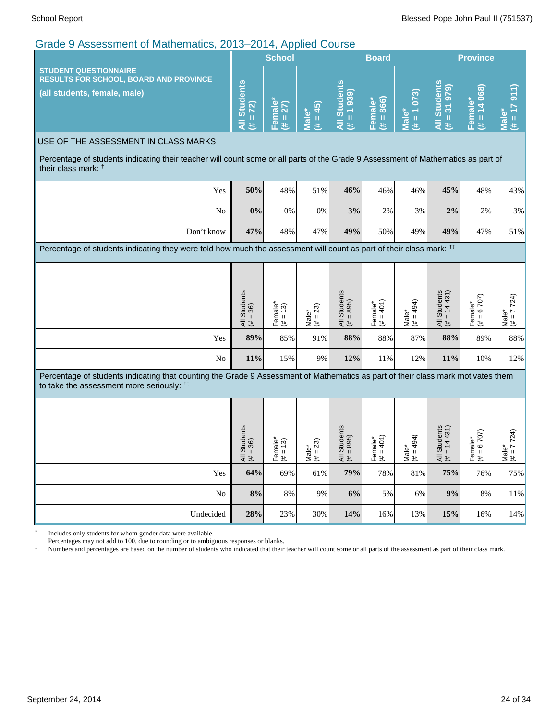|                                                                                                                                                                                          |                                       | <b>School</b>                     |                             |                                                     | <b>Board</b>                    |                                          |                                                                            | <b>Province</b>            |                                               |  |
|------------------------------------------------------------------------------------------------------------------------------------------------------------------------------------------|---------------------------------------|-----------------------------------|-----------------------------|-----------------------------------------------------|---------------------------------|------------------------------------------|----------------------------------------------------------------------------|----------------------------|-----------------------------------------------|--|
| <b>STUDENT QUESTIONNAIRE</b><br><b>RESULTS FOR SCHOOL, BOARD AND PROVINCE</b><br>(all students, female, male)                                                                            | <b>All Students</b><br>$(4 + 72)$     | <b>Female</b><br>$(# = 27)$       | $(24 = 45)$<br><b>Male*</b> | <b>All Students</b><br>$(656 f = #)$                | $(* = 866)$<br>Female*          | $# = 1073$<br>Male*                      | <b>All Students</b><br>$= 31979$<br>y.                                     | $= 14068$<br>Female*<br>患  | $\frac{1}{2}$<br>$T = #$<br>Male <sup>*</sup> |  |
| USE OF THE ASSESSMENT IN CLASS MARKS                                                                                                                                                     |                                       |                                   |                             |                                                     |                                 |                                          |                                                                            |                            |                                               |  |
| Percentage of students indicating their teacher will count some or all parts of the Grade 9 Assessment of Mathematics as part of<br>their class mark: <sup>†</sup>                       |                                       |                                   |                             |                                                     |                                 |                                          |                                                                            |                            |                                               |  |
| Yes                                                                                                                                                                                      | 50%                                   | 48%                               | 51%                         | 46%                                                 | 46%                             | 46%                                      | 45%                                                                        | 48%                        | 43%                                           |  |
| N <sub>o</sub>                                                                                                                                                                           | 0%                                    | 0%                                | 0%                          | 3%                                                  | 2%                              | 3%                                       | 2%                                                                         | 2%                         | 3%                                            |  |
| Don't know                                                                                                                                                                               | 47%                                   | 48%                               | 47%                         | 49%                                                 | 50%                             | 49%                                      | 49%                                                                        | 47%                        | 51%                                           |  |
| Percentage of students indicating they were told how much the assessment will count as part of their class mark: <sup>†</sup>                                                            |                                       |                                   |                             |                                                     |                                 |                                          |                                                                            |                            |                                               |  |
|                                                                                                                                                                                          |                                       |                                   |                             |                                                     |                                 |                                          |                                                                            |                            |                                               |  |
|                                                                                                                                                                                          | All Students<br>$(\# = 36)$           | Female*<br>$(\# = 13)$            | Male*<br>(# = 23)           | All Students<br>$(\# = 895)$                        | Female*<br>$(t \neq 401)$       | $(# = 494)$<br>Male <sup>*</sup>         | All Students<br>$\left  \begin{array}{c} 4 \# = 14431 \end{array} \right $ | Female*<br>$(\# = 6\ 707)$ | Male*<br>(# = 7 724)                          |  |
| Yes                                                                                                                                                                                      | 89%                                   | 85%                               | 91%                         | 88%                                                 | 88%                             | 87%                                      | 88%                                                                        | 89%                        | 88%                                           |  |
| No                                                                                                                                                                                       | 11%                                   | 15%                               | 9%                          | 12%                                                 | 11%                             | 12%                                      | 11%                                                                        | 10%                        | 12%                                           |  |
| Percentage of students indicating that counting the Grade 9 Assessment of Mathematics as part of their class mark motivates them<br>to take the assessment more seriously: <sup>##</sup> |                                       |                                   |                             |                                                     |                                 |                                          |                                                                            |                            |                                               |  |
|                                                                                                                                                                                          |                                       |                                   |                             |                                                     |                                 |                                          |                                                                            |                            |                                               |  |
|                                                                                                                                                                                          | Students<br>36)<br>$\mathbf{I}$<br>ミキ | male*<br>(3)<br>$\,$ H<br>⊩e<br>⊭ | 23)<br>Male*<br>$(\# = 2)$  | Students<br>895)<br>$\mathbf{II}$<br>$\frac{4}{16}$ | 401)<br>Female*<br>$(\# = 401)$ | 494)<br>$\frac{\text{Male*}}{(\# = 49)}$ | Students<br>14431<br>$\mathbf{I}$<br>ミミ                                    | Female*<br>$(\# = 6\ 707)$ | 7724)<br>$\frac{7 = \mu}{\mu}$                |  |
| Yes                                                                                                                                                                                      | 64%                                   | 69%                               | 61%                         | 79%                                                 | 78%                             | 81%                                      | 75%                                                                        | 76%                        | 75%                                           |  |
| No                                                                                                                                                                                       | 8%                                    | 8%                                | 9%                          | 6%                                                  | 5%                              | 6%                                       | 9%                                                                         | 8%                         | 11%                                           |  |
| Undecided                                                                                                                                                                                | 28%                                   | 23%                               | 30%                         | 14%                                                 | 16%                             | 13%                                      | 15%                                                                        | 16%                        | 14%                                           |  |

\* Includes only students for whom gender data were available.

† Percentages may not add to 100, due to rounding or to ambiguous responses or blanks.

‡ Numbers and percentages are based on the number of students who indicated that their teacher will count some or all parts of the assessment as part of their class mark.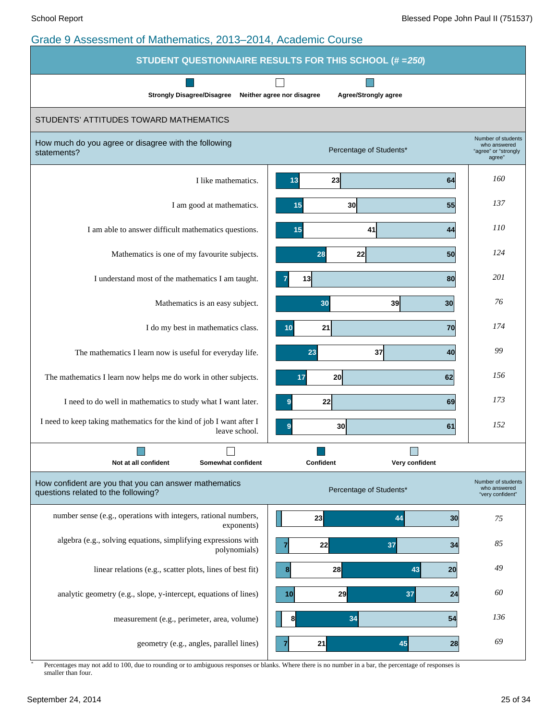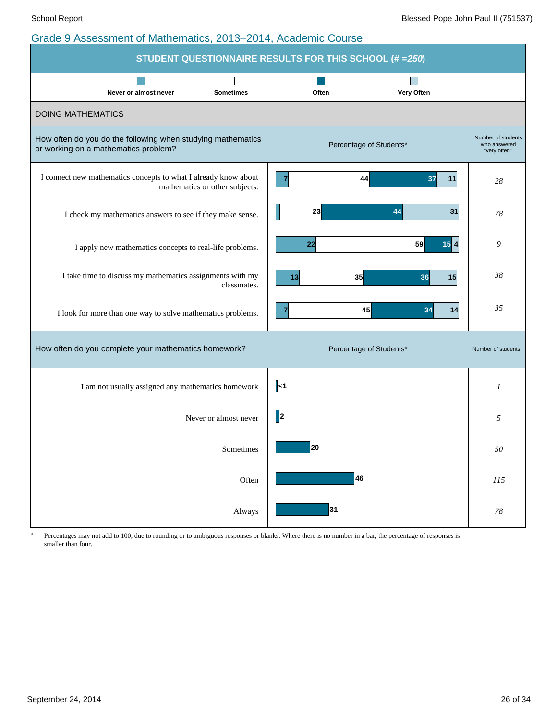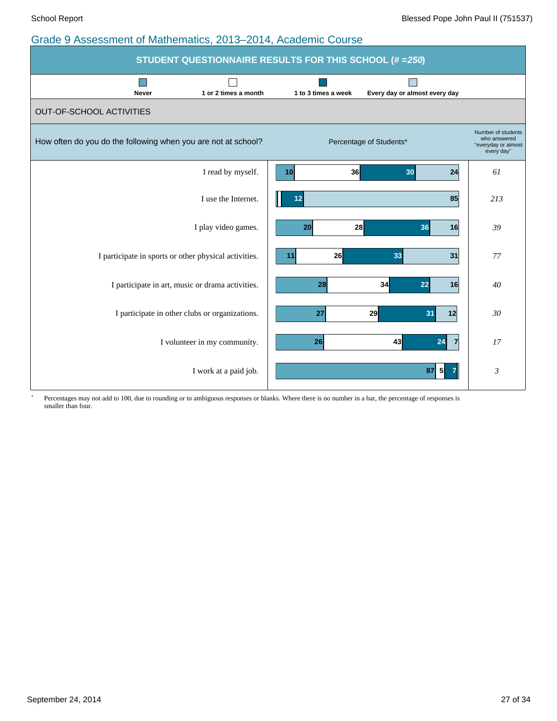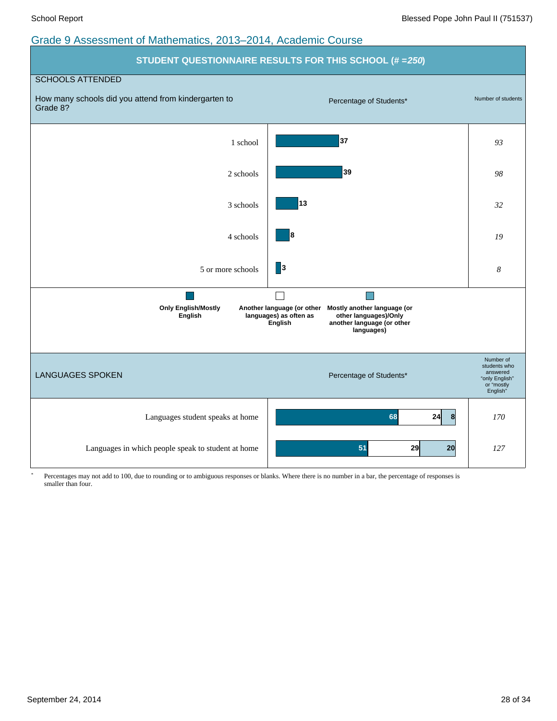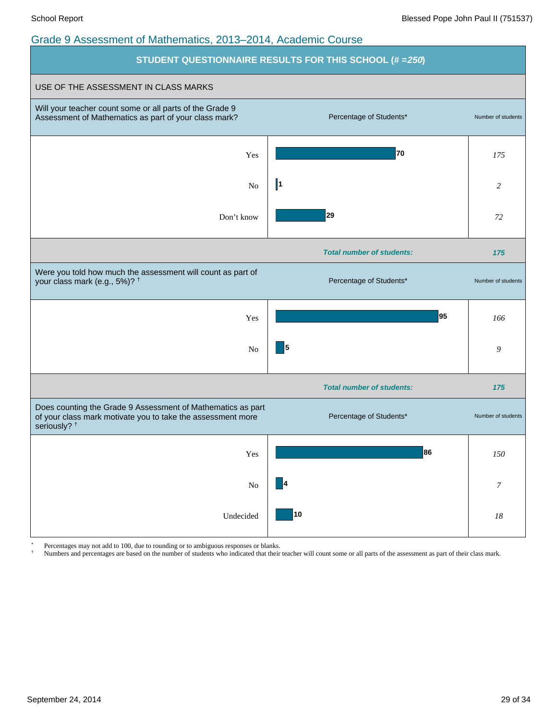

Percentages may not add to 100, due to rounding or to ambiguous responses or blanks.

† Numbers and percentages are based on the number of students who indicated that their teacher will count some or all parts of the assessment as part of their class mark.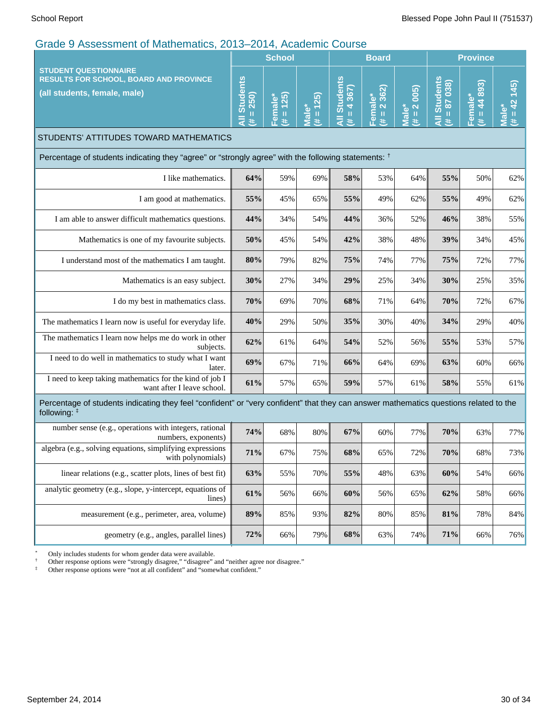| <b>Prague U. Musulum International Community</b>                                                                                                        | $\sim$ $\sim$ $\sim$ $\sim$ $\sim$ $\sim$ $\sim$ $\sim$ | <b>School</b>           | 1100001110                                            |                                 | <b>Board</b>           |                                | <b>Province</b>                             |                                      |                          |
|---------------------------------------------------------------------------------------------------------------------------------------------------------|---------------------------------------------------------|-------------------------|-------------------------------------------------------|---------------------------------|------------------------|--------------------------------|---------------------------------------------|--------------------------------------|--------------------------|
| <b>STUDENT QUESTIONNAIRE</b><br><b>RESULTS FOR SCHOOL, BOARD AND PROVINCE</b><br>(all students, female, male)                                           | <b>All Students</b><br>$= 250$<br>業                     | $= 125$<br>Female*<br>共 | <b>25</b><br>$\mathbf{t} = \mathbf{t}$<br><b>Male</b> | <b>All Students</b><br>$= 4367$ | Female*<br>(# = 2 362) | $= 2005$<br>Male*<br>$\ddot{}$ | <b>All Student</b><br>87 038<br>Ш<br>$\ast$ | 44 893)<br>Female*<br>Ш<br>$\ddot{}$ | (245)<br>42<br>Male<br>进 |
| STUDENTS' ATTITUDES TOWARD MATHEMATICS                                                                                                                  |                                                         |                         |                                                       |                                 |                        |                                |                                             |                                      |                          |
| Percentage of students indicating they "agree" or "strongly agree" with the following statements: $†$                                                   |                                                         |                         |                                                       |                                 |                        |                                |                                             |                                      |                          |
| I like mathematics.                                                                                                                                     | 64%                                                     | 59%                     | 69%                                                   | 58%                             | 53%                    | 64%                            | 55%                                         | 50%                                  | 62%                      |
| I am good at mathematics.                                                                                                                               | 55%                                                     | 45%                     | 65%                                                   | 55%                             | 49%                    | 62%                            | 55%                                         | 49%                                  | 62%                      |
| I am able to answer difficult mathematics questions.                                                                                                    | 44%                                                     | 34%                     | 54%                                                   | 44%                             | 36%                    | 52%                            | 46%                                         | 38%                                  | 55%                      |
| Mathematics is one of my favourite subjects.                                                                                                            | 50%                                                     | 45%                     | 54%                                                   | 42%                             | 38%                    | 48%                            | 39%                                         | 34%                                  | 45%                      |
| I understand most of the mathematics I am taught.                                                                                                       | $80\%$                                                  | 79%                     | 82%                                                   | 75%                             | 74%                    | 77%                            | 75%                                         | 72%                                  | 77%                      |
| Mathematics is an easy subject.                                                                                                                         | 30%                                                     | 27%                     | 34%                                                   | 29%                             | 25%                    | 34%                            | 30%                                         | 25%                                  | 35%                      |
| I do my best in mathematics class.                                                                                                                      | $70\%$                                                  | 69%                     | 70%                                                   | 68%                             | 71%                    | 64%                            | 70%                                         | 72%                                  | 67%                      |
| The mathematics I learn now is useful for everyday life.                                                                                                | 40%                                                     | 29%                     | 50%                                                   | 35%                             | 30%                    | 40%                            | 34%                                         | 29%                                  | 40%                      |
| The mathematics I learn now helps me do work in other<br>subjects.                                                                                      | 62%                                                     | 61%                     | 64%                                                   | 54%                             | 52%                    | 56%                            | 55%                                         | 53%                                  | 57%                      |
| I need to do well in mathematics to study what I want<br>later.                                                                                         | 69%                                                     | 67%                     | 71%                                                   | 66%                             | 64%                    | 69%                            | 63%                                         | 60%                                  | 66%                      |
| I need to keep taking mathematics for the kind of job I<br>want after I leave school.                                                                   | 61%                                                     | 57%                     | 65%                                                   | 59%                             | 57%                    | 61%                            | 58%                                         | 55%                                  | 61%                      |
| Percentage of students indicating they feel "confident" or "very confident" that they can answer mathematics questions related to the<br>following: $‡$ |                                                         |                         |                                                       |                                 |                        |                                |                                             |                                      |                          |
| number sense (e.g., operations with integers, rational<br>numbers, exponents)                                                                           | 74%                                                     | 68%                     | 80%                                                   | 67%                             | 60%                    | 77%                            | 70%                                         | 63%                                  | 77%                      |
| algebra (e.g., solving equations, simplifying expressions<br>with polynomials)                                                                          | 71%                                                     | 67%                     | 75%                                                   | 68%                             | 65%                    | 72%                            | 70%                                         | 68%                                  | 73%                      |
| linear relations (e.g., scatter plots, lines of best fit)                                                                                               | 63%                                                     | 55%                     | 70%                                                   | 55%                             | 48%                    | 63%                            | $60\%$                                      | 54%                                  | 66%                      |
| analytic geometry (e.g., slope, y-intercept, equations of<br>lines)                                                                                     | 61%                                                     | 56%                     | 66%                                                   | 60%                             | 56%                    | 65%                            | 62%                                         | 58%                                  | 66%                      |
| measurement (e.g., perimeter, area, volume)                                                                                                             | 89%                                                     | 85%                     | 93%                                                   | 82%                             | 80%                    | 85%                            | $81\%$                                      | 78%                                  | 84%                      |
| geometry (e.g., angles, parallel lines)                                                                                                                 | 72%                                                     | 66%                     | 79%                                                   | 68%                             | 63%                    | 74%                            | 71%                                         | 66%                                  | 76%                      |

\* Only includes students for whom gender data were available.

† Other response options were "strongly disagree," "disagree" and "neither agree nor disagree."

‡ Other response options were "not at all confident" and "somewhat confident."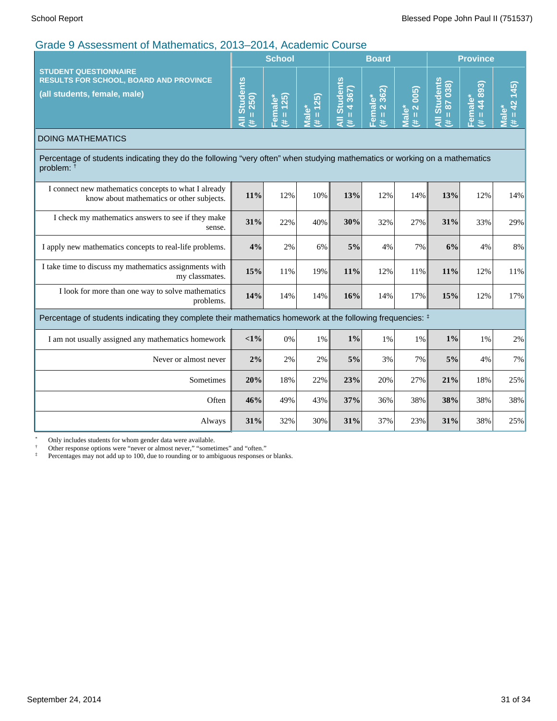| Grade 9 Assessment of Mathematics, 2013–2014, Academic Course                                                                                       |               |                                 |                            |                                |                        |                                        |                                                           |                           |                               |
|-----------------------------------------------------------------------------------------------------------------------------------------------------|---------------|---------------------------------|----------------------------|--------------------------------|------------------------|----------------------------------------|-----------------------------------------------------------|---------------------------|-------------------------------|
|                                                                                                                                                     | <b>School</b> |                                 |                            | <b>Board</b>                   |                        | <b>Province</b>                        |                                                           |                           |                               |
| <b>STUDENT QUESTIONNAIRE</b><br><b>RESULTS FOR SCHOOL, BOARD AND PROVINCE</b><br>(all students, female, male)                                       |               | (25)<br>Female*<br>$\,$ II<br># | $= 125$<br>Male*<br>$\ast$ | <b>Students</b><br>4 367)<br>ш | Female*<br>(# = 2 362) | 2005)<br>Male*<br>$\,$ II<br>$\ddot{}$ | Students<br>= 87 038)<br>$\frac{18}{2}$<br>$\bar{a}$<br>进 | $= 44893$<br>Female*<br>主 | (145)<br>$= 42$<br>Male*<br>进 |
| <b>DOING MATHEMATICS</b>                                                                                                                            |               |                                 |                            |                                |                        |                                        |                                                           |                           |                               |
| Percentage of students indicating they do the following "very often" when studying mathematics or working on a mathematics<br>problem: <sup>†</sup> |               |                                 |                            |                                |                        |                                        |                                                           |                           |                               |
| I connect new mathematics concepts to what I already<br>know about mathematics or other subjects.                                                   | 11%           | 12%                             | 10%                        | 13%                            | 12%                    | 14%                                    | 13%                                                       | 12%                       | 14%                           |
| I check my mathematics answers to see if they make<br>sense.                                                                                        | 31%           | 22%                             | 40%                        | 30%                            | 32%                    | 27%                                    | 31%                                                       | 33%                       | 29%                           |
| I apply new mathematics concepts to real-life problems.                                                                                             | 4%            | 2%                              | 6%                         | 5%                             | 4%                     | 7%                                     | 6%                                                        | 4%                        | 8%                            |
| I take time to discuss my mathematics assignments with<br>my classmates.                                                                            | 15%           | 11%                             | 19%                        | 11%                            | 12%                    | 11%                                    | 11%                                                       | 12%                       | 11%                           |
| I look for more than one way to solve mathematics<br>problems.                                                                                      | 14%           | 14%                             | 14%                        | 16%                            | 14%                    | 17%                                    | 15%                                                       | 12%                       | 17%                           |
| Percentage of students indicating they complete their mathematics homework at the following frequencies: $‡$                                        |               |                                 |                            |                                |                        |                                        |                                                           |                           |                               |
| I am not usually assigned any mathematics homework                                                                                                  | $<1\%$        | 0%                              | 1%                         | $1\%$                          | 1%                     | 1%                                     | $1\%$                                                     | 1%                        | 2%                            |
| Never or almost never                                                                                                                               | 2%            | 2%                              | 2%                         | 5%                             | 3%                     | 7%                                     | 5%                                                        | 4%                        | 7%                            |
| Sometimes                                                                                                                                           | 20%           | 18%                             | 22%                        | 23%                            | 20%                    | 27%                                    | 21%                                                       | 18%                       | 25%                           |
| Often                                                                                                                                               | 46%           | 49%                             | 43%                        | 37%                            | 36%                    | 38%                                    | 38%                                                       | 38%                       | 38%                           |
| Always                                                                                                                                              | 31%           | 32%                             | 30%                        | 31%                            | 37%                    | 23%                                    | 31%                                                       | 38%                       | 25%                           |

\* Only includes students for whom gender data were available.

† Other response options were "never or almost never," "sometimes" and "often."

‡ Percentages may not add up to 100, due to rounding or to ambiguous responses or blanks.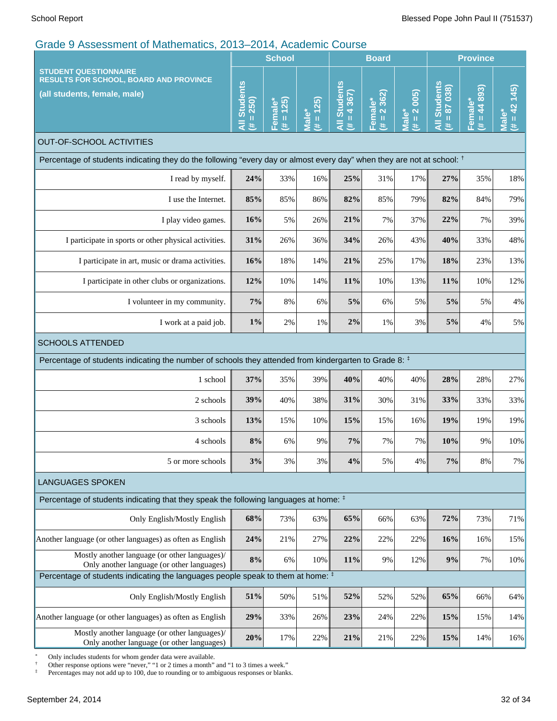| <b>STUDENT QUESTIONNAIRE</b><br><b>RESULTS FOR SCHOOL, BOARD AND PROVINCE</b><br>(all students, female, male)                     |                                                                                                       | <b>School</b>        |                                |                                      | <b>Board</b>          |                      |                                | <b>Province</b>           |                            |  |
|-----------------------------------------------------------------------------------------------------------------------------------|-------------------------------------------------------------------------------------------------------|----------------------|--------------------------------|--------------------------------------|-----------------------|----------------------|--------------------------------|---------------------------|----------------------------|--|
|                                                                                                                                   |                                                                                                       | $# = 125$<br>Female* | $# = 125$<br>Male <sup>*</sup> | <b>All Students</b><br>$= 4367$<br>L | $# = 2362$<br>Female* | $# = 2 005$<br>Male* | All Students<br>$= 87038$<br>进 | $= 44893$<br>Female*<br>违 | $(\# = 42 \; 145)$<br>Male |  |
| <b>OUT-OF-SCHOOL ACTIVITIES</b>                                                                                                   |                                                                                                       |                      |                                |                                      |                       |                      |                                |                           |                            |  |
| Percentage of students indicating they do the following "every day or almost every day" when they are not at school: <sup>†</sup> |                                                                                                       |                      |                                |                                      |                       |                      |                                |                           |                            |  |
| I read by myself.                                                                                                                 | 24%                                                                                                   | 33%                  | 16%                            | 25%                                  | 31%                   | 17%                  | 27%                            | 35%                       | 18%                        |  |
| I use the Internet.                                                                                                               | 85%                                                                                                   | 85%                  | 86%                            | 82%                                  | 85%                   | 79%                  | 82%                            | 84%                       | 79%                        |  |
| I play video games.                                                                                                               | 16%                                                                                                   | 5%                   | 26%                            | 21%                                  | 7%                    | 37%                  | 22%                            | 7%                        | 39%                        |  |
| I participate in sports or other physical activities.                                                                             | 31%                                                                                                   | 26%                  | 36%                            | 34%                                  | 26%                   | 43%                  | 40%                            | 33%                       | 48%                        |  |
| I participate in art, music or drama activities.                                                                                  |                                                                                                       | 18%                  | 14%                            | 21%                                  | 25%                   | 17%                  | 18%                            | 23%                       | 13%                        |  |
| I participate in other clubs or organizations.                                                                                    |                                                                                                       | 10%                  | 14%                            | 11%                                  | 10%                   | 13%                  | 11%                            | 10%                       | 12%                        |  |
| I volunteer in my community.                                                                                                      |                                                                                                       | 8%                   | 6%                             | 5%                                   | 6%                    | 5%                   | 5%                             | 5%                        | 4%                         |  |
| I work at a paid job.                                                                                                             | $1\%$                                                                                                 | 2%                   | 1%                             | $2\%$                                | 1%                    | 3%                   | 5%                             | 4%                        | 5%                         |  |
| <b>SCHOOLS ATTENDED</b>                                                                                                           |                                                                                                       |                      |                                |                                      |                       |                      |                                |                           |                            |  |
|                                                                                                                                   | Percentage of students indicating the number of schools they attended from kindergarten to Grade 8: # |                      |                                |                                      |                       |                      |                                |                           |                            |  |
| 1 school                                                                                                                          | 37%                                                                                                   | 35%                  | 39%                            | 40%                                  | 40%                   | 40%                  | 28%                            | 28%                       | 27%                        |  |
| 2 schools                                                                                                                         | 39%                                                                                                   | 40%                  | 38%                            | 31%                                  | 30%                   | 31%                  | 33%                            | 33%                       | 33%                        |  |
| 3 schools                                                                                                                         | 13%                                                                                                   | 15%                  | 10%                            | 15%                                  | 15%                   | 16%                  | 19%                            | 19%                       | 19%                        |  |
| 4 schools                                                                                                                         | $8\%$                                                                                                 | 6%                   | 9%                             | 7%                                   | 7%                    | 7%                   | 10%                            | 9%                        | 10%                        |  |
| 5 or more schools                                                                                                                 | 3%                                                                                                    | 3%                   | 3%                             | 4%                                   | 5%                    | 4%                   | 7%                             | 8%                        | 7%                         |  |
| <b>LANGUAGES SPOKEN</b>                                                                                                           |                                                                                                       |                      |                                |                                      |                       |                      |                                |                           |                            |  |
| Percentage of students indicating that they speak the following languages at home: #                                              |                                                                                                       |                      |                                |                                      |                       |                      |                                |                           |                            |  |
| Only English/Mostly English                                                                                                       | 68%                                                                                                   | 73%                  | 63%                            | 65%                                  | 66%                   | 63%                  | 72%                            | 73%                       | 71%                        |  |
| Another language (or other languages) as often as English                                                                         | 24%                                                                                                   | 21%                  | 27%                            | 22%                                  | 22%                   | 22%                  | 16%                            | 16%                       | 15%                        |  |
| Mostly another language (or other languages)/<br>Only another language (or other languages)                                       | $8\%$                                                                                                 | 6%                   | 10%                            | 11%                                  | 9%                    | 12%                  | 9%                             | 7%                        | 10%                        |  |
| Percentage of students indicating the languages people speak to them at home: #                                                   |                                                                                                       |                      |                                |                                      |                       |                      |                                |                           |                            |  |
| Only English/Mostly English                                                                                                       | 51%                                                                                                   | 50%                  | 51%                            | 52%                                  | 52%                   | 52%                  | 65%                            | 66%                       | 64%                        |  |
| Another language (or other languages) as often as English                                                                         | 29%                                                                                                   | 33%                  | 26%                            | 23%                                  | 24%                   | 22%                  | 15%                            | 15%                       | 14%                        |  |
| Mostly another language (or other languages)/<br>Only another language (or other languages)                                       | 20%                                                                                                   | 17%                  | 22%                            | 21%                                  | 21%                   | 22%                  | 15%                            | 14%                       | 16%                        |  |

\* Only includes students for whom gender data were available.

† Other response options were "never," "1 or 2 times a month" and "1 to 3 times a week."

the percentages may not add up to 100, due to rounding or to ambiguous responses or blanks.<br>‡ Percentages may not add up to 100, due to rounding or to ambiguous responses or blanks.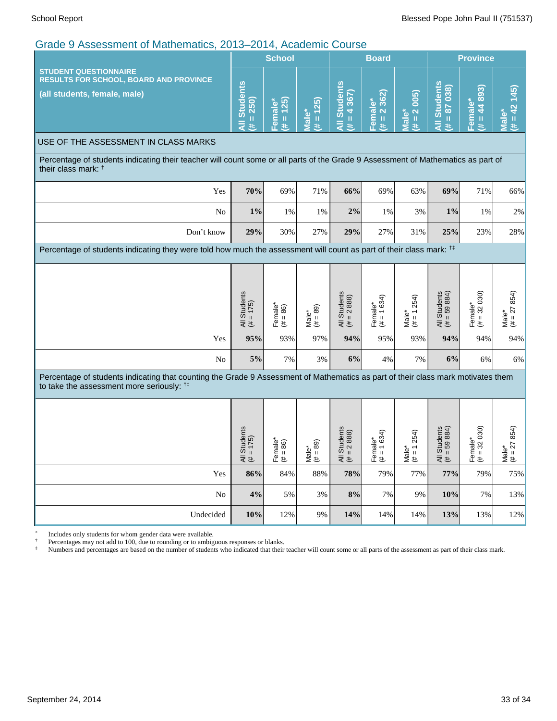| $\frac{1}{2}$ . Notice the international condition of $\frac{1}{2}$ and $\frac{1}{2}$ . Notice this country                                                                             |                                                              | <b>School</b>                        |                                                                              | <b>Board</b>                               |                                  |                                                                 | <b>Province</b>                             |                                                                                      |                                        |
|-----------------------------------------------------------------------------------------------------------------------------------------------------------------------------------------|--------------------------------------------------------------|--------------------------------------|------------------------------------------------------------------------------|--------------------------------------------|----------------------------------|-----------------------------------------------------------------|---------------------------------------------|--------------------------------------------------------------------------------------|----------------------------------------|
| <b>STUDENT QUESTIONNAIRE</b><br><b>RESULTS FOR SCHOOL, BOARD AND PROVINCE</b><br>(all students, female, male)                                                                           | <b>Students</b><br>$= 250$<br>Ë<br>y.                        | $# = 125$<br>Female*                 | $# = 125$<br>Male*                                                           | <b>All Students</b><br>$(4i + 4367)$       | $# = 2362$<br>Female*            | $# = 2 005$<br>Male*                                            | <b>All Students</b><br>$= 87038$<br>巷       | $(# = 44 893)$<br>Female*                                                            | (245)<br>$(# = 42)$<br><b>Male*</b>    |
| USE OF THE ASSESSMENT IN CLASS MARKS                                                                                                                                                    |                                                              |                                      |                                                                              |                                            |                                  |                                                                 |                                             |                                                                                      |                                        |
| Percentage of students indicating their teacher will count some or all parts of the Grade 9 Assessment of Mathematics as part of<br>their class mark: <sup>†</sup>                      |                                                              |                                      |                                                                              |                                            |                                  |                                                                 |                                             |                                                                                      |                                        |
| Yes                                                                                                                                                                                     | 70%                                                          | 69%                                  | 71%                                                                          | 66%                                        | 69%                              | 63%                                                             | 69%                                         | 71%                                                                                  | 66%                                    |
| No                                                                                                                                                                                      | $1\%$                                                        | 1%                                   | 1%                                                                           | 2%                                         | 1%                               | 3%                                                              | $1\%$                                       | 1%                                                                                   | 2%                                     |
| Don't know                                                                                                                                                                              | 29%                                                          | 30%                                  | 27%                                                                          | 29%                                        | 27%                              | 31%                                                             | 25%                                         | 23%                                                                                  | 28%                                    |
| Percentage of students indicating they were told how much the assessment will count as part of their class mark: <sup>†</sup>                                                           |                                                              |                                      |                                                                              |                                            |                                  |                                                                 |                                             |                                                                                      |                                        |
|                                                                                                                                                                                         | <b>Students</b><br>$= 175$<br>$\overline{\overline{z}}$<br># | Female <sup>*</sup><br>$(\neq = 86)$ | $= 89$<br>$\begin{array}{c}\n\mathsf{Male}^* \\ \mathsf{#} = 8\n\end{array}$ | All Students<br>$\mu = 2888$               | Female*<br>(# = 1 634)           | 254)<br>$\leftarrow$<br>Male <sup>*</sup><br>$\mathsf{II}$<br># | All Students<br>$(\# = 59 884)$             | $Female^*$<br>(# = 32 030)                                                           | $= 27854$<br>Male*<br>$(\# = 2)$       |
| Yes                                                                                                                                                                                     | 95%                                                          | 93%                                  | 97%                                                                          | 94%                                        | 95%                              | 93%                                                             | 94%                                         | 94%                                                                                  | 94%                                    |
| No                                                                                                                                                                                      | 5%                                                           | 7%                                   | $3\%$                                                                        | 6%                                         | 4%                               | 7%                                                              | 6%                                          | 6%                                                                                   | 6%                                     |
| Percentage of students indicating that counting the Grade 9 Assessment of Mathematics as part of their class mark motivates them<br>to take the assessment more seriously: <sup>†</sup> |                                                              |                                      |                                                                              |                                            |                                  |                                                                 |                                             |                                                                                      |                                        |
|                                                                                                                                                                                         | Students<br>175)<br>$\mathbf{H}$<br>ミミ                       | $\frac{1}{2}$ male*<br>└<br>上 も      | 89)<br>åle*<br>$\mathbf{I}$<br>≊ั≛                                           | Students<br>$= 2888$<br>$\mathbf{I}$<br>ミミ | emale*<br>∘ = 1 634)<br>└<br>上 も | 1254<br>$\frac{\text{Male}^*}{\text{(\# = 1)}}$                 | Students<br>$= 59884$<br>$\mathbf{H}$<br>ミミ | $\begin{array}{c} \mathsf{smaller}^* \\ \mathsf{i} = 32 \ 030 \end{array}$<br>⊩<br>∉ | 27 854)<br>åle*<br>$\mathbf{H}$<br>≥็≛ |
| Yes                                                                                                                                                                                     | 86%                                                          | 84%                                  | 88%                                                                          | 78%                                        | 79%                              | 77%                                                             | 77%                                         | 79%                                                                                  | 75%                                    |
| No                                                                                                                                                                                      | 4%                                                           | 5%                                   | 3%                                                                           | 8%                                         | 7%                               | 9%                                                              | 10%                                         | 7%                                                                                   | 13%                                    |
| Undecided                                                                                                                                                                               | 10%                                                          | 12%                                  | $9\%$                                                                        | 14%                                        | 14%                              | 14%                                                             | 13%                                         | 13%                                                                                  | 12%                                    |

\* Includes only students for whom gender data were available.

† Percentages may not add to 100, due to rounding or to ambiguous responses or blanks.

<sup>‡</sup> Numbers and percentages are based on the number of students who indicated that their teacher will count some or all parts of the assessment as part of their class mark.